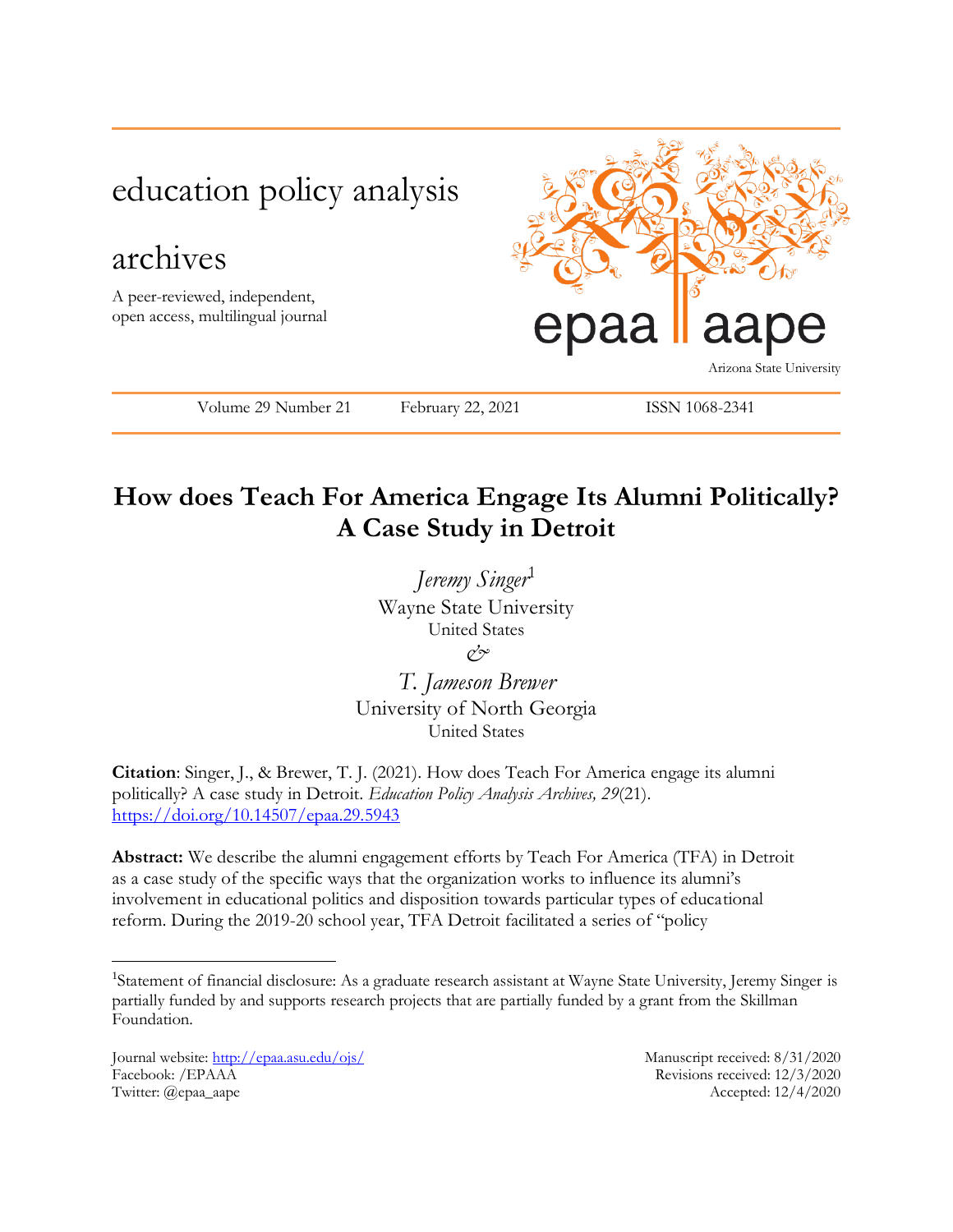

# **How does Teach For America Engage Its Alumni Politically? A Case Study in Detroit**

*Jeremy Singer*<sup>1</sup> Wayne State University United States *&*

*T. Jameson Brewer* University of North Georgia United States

**Citation**: Singer, J., & Brewer, T. J. (2021). How does Teach For America engage its alumni politically? A case study in Detroit. *Education Policy Analysis Archives, 29*(21). <https://doi.org/10.14507/epaa.29.5943>

**Abstract:** We describe the alumni engagement efforts by Teach For America (TFA) in Detroit as a case study of the specific ways that the organization works to influence its alumni's involvement in educational politics and disposition towards particular types of educational reform. During the 2019-20 school year, TFA Detroit facilitated a series of "policy

Journal website:<http://epaa.asu.edu/ojs/> Manuscript received: 8/31/2020 Facebook: /EPAAA Revisions received: 12/3/2020 Twitter: @epaa\_aape Accepted: 12/4/2020

 $\overline{a}$ 

<sup>&</sup>lt;sup>1</sup>Statement of financial disclosure: As a graduate research assistant at Wayne State University, Jeremy Singer is partially funded by and supports research projects that are partially funded by a grant from the Skillman Foundation.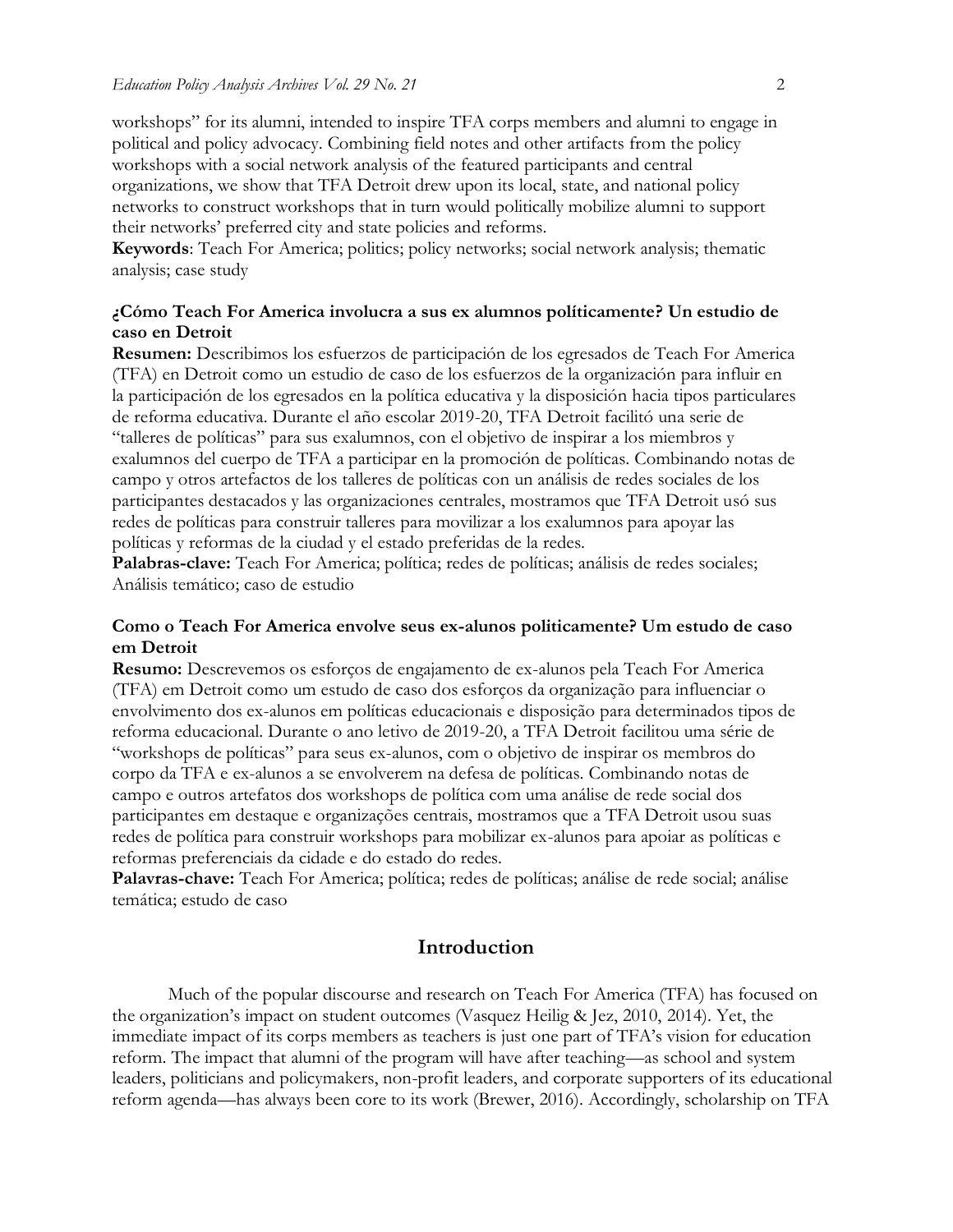workshops" for its alumni, intended to inspire TFA corps members and alumni to engage in political and policy advocacy. Combining field notes and other artifacts from the policy workshops with a social network analysis of the featured participants and central organizations, we show that TFA Detroit drew upon its local, state, and national policy networks to construct workshops that in turn would politically mobilize alumni to support their networks' preferred city and state policies and reforms.

**Keywords**: Teach For America; politics; policy networks; social network analysis; thematic analysis; case study

### **¿Cómo Teach For America involucra a sus ex alumnos políticamente? Un estudio de caso en Detroit**

**Resumen:** Describimos los esfuerzos de participación de los egresados de Teach For America (TFA) en Detroit como un estudio de caso de los esfuerzos de la organización para influir en la participación de los egresados en la política educativa y la disposición hacia tipos particulares de reforma educativa. Durante el año escolar 2019-20, TFA Detroit facilitó una serie de "talleres de políticas" para sus exalumnos, con el objetivo de inspirar a los miembros y exalumnos del cuerpo de TFA a participar en la promoción de políticas. Combinando notas de campo y otros artefactos de los talleres de políticas con un análisis de redes sociales de los participantes destacados y las organizaciones centrales, mostramos que TFA Detroit usó sus redes de políticas para construir talleres para movilizar a los exalumnos para apoyar las políticas y reformas de la ciudad y el estado preferidas de la redes.

Palabras-clave: Teach For America; política; redes de políticas; análisis de redes sociales; Análisis temático; caso de estudio

### **Como o Teach For America envolve seus ex-alunos politicamente? Um estudo de caso em Detroit**

**Resumo:** Descrevemos os esforços de engajamento de ex-alunos pela Teach For America (TFA) em Detroit como um estudo de caso dos esforços da organização para influenciar o envolvimento dos ex-alunos em políticas educacionais e disposição para determinados tipos de reforma educacional. Durante o ano letivo de 2019-20, a TFA Detroit facilitou uma série de "workshops de políticas" para seus ex-alunos, com o objetivo de inspirar os membros do corpo da TFA e ex-alunos a se envolverem na defesa de políticas. Combinando notas de campo e outros artefatos dos workshops de política com uma análise de rede social dos participantes em destaque e organizações centrais, mostramos que a TFA Detroit usou suas redes de política para construir workshops para mobilizar ex-alunos para apoiar as políticas e reformas preferenciais da cidade e do estado do redes.

**Palavras-chave:** Teach For America; política; redes de políticas; análise de rede social; análise temática; estudo de caso

## **Introduction**

Much of the popular discourse and research on Teach For America (TFA) has focused on the organization's impact on student outcomes (Vasquez Heilig & Jez, 2010, 2014). Yet, the immediate impact of its corps members as teachers is just one part of TFA's vision for education reform. The impact that alumni of the program will have after teaching—as school and system leaders, politicians and policymakers, non-profit leaders, and corporate supporters of its educational reform agenda—has always been core to its work (Brewer, 2016). Accordingly, scholarship on TFA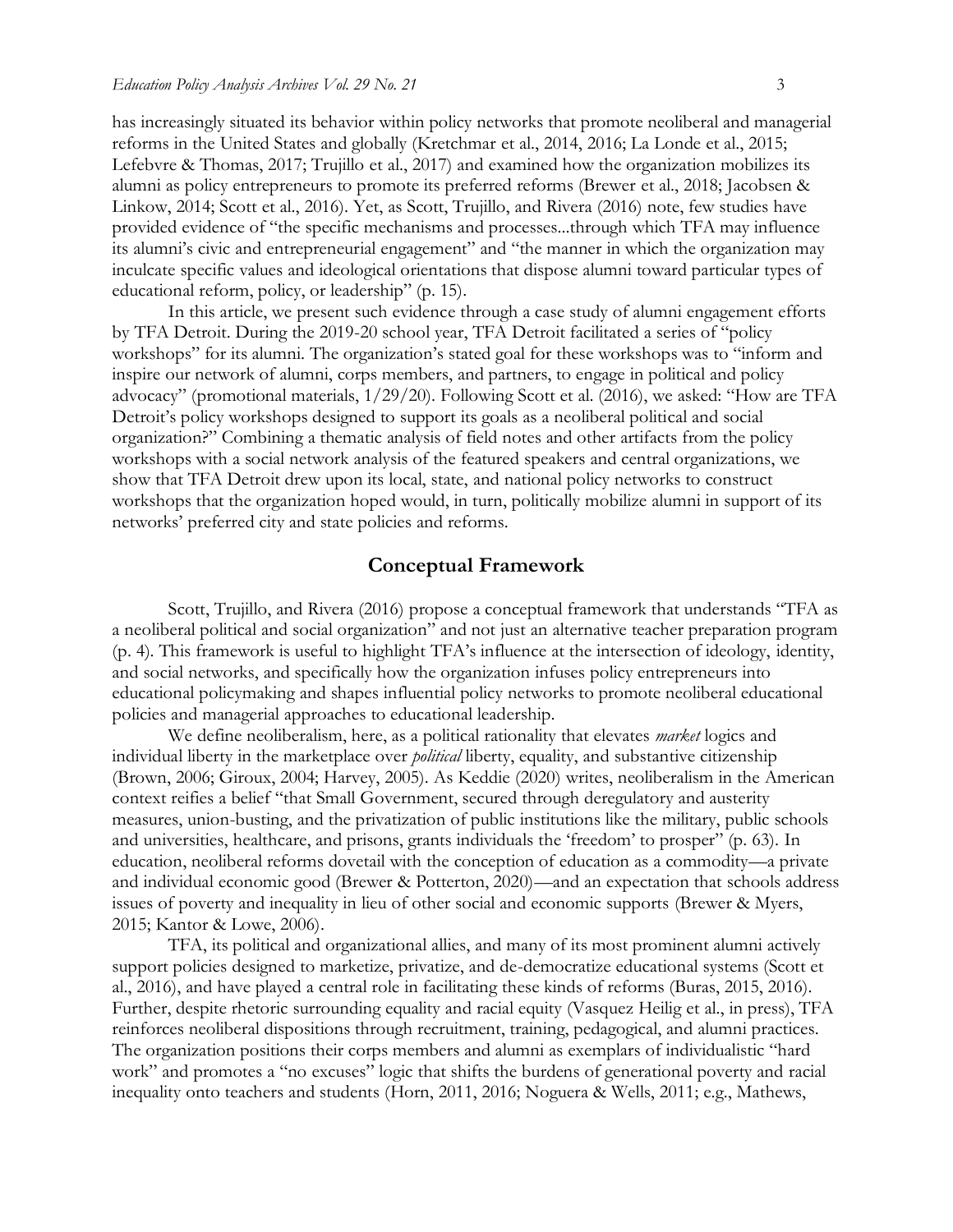has increasingly situated its behavior within policy networks that promote neoliberal and managerial reforms in the United States and globally (Kretchmar et al., 2014, 2016; La Londe et al., 2015; Lefebvre & Thomas, 2017; Trujillo et al., 2017) and examined how the organization mobilizes its alumni as policy entrepreneurs to promote its preferred reforms (Brewer et al., 2018; Jacobsen & Linkow, 2014; Scott et al., 2016). Yet, as Scott, Trujillo, and Rivera (2016) note, few studies have provided evidence of "the specific mechanisms and processes...through which TFA may influence its alumni's civic and entrepreneurial engagement" and "the manner in which the organization may inculcate specific values and ideological orientations that dispose alumni toward particular types of educational reform, policy, or leadership" (p. 15).

In this article, we present such evidence through a case study of alumni engagement efforts by TFA Detroit. During the 2019-20 school year, TFA Detroit facilitated a series of "policy workshops" for its alumni. The organization's stated goal for these workshops was to "inform and inspire our network of alumni, corps members, and partners, to engage in political and policy advocacy" (promotional materials, 1/29/20). Following Scott et al. (2016), we asked: "How are TFA Detroit's policy workshops designed to support its goals as a neoliberal political and social organization?" Combining a thematic analysis of field notes and other artifacts from the policy workshops with a social network analysis of the featured speakers and central organizations, we show that TFA Detroit drew upon its local, state, and national policy networks to construct workshops that the organization hoped would, in turn, politically mobilize alumni in support of its networks' preferred city and state policies and reforms.

### **Conceptual Framework**

Scott, Trujillo, and Rivera (2016) propose a conceptual framework that understands "TFA as a neoliberal political and social organization" and not just an alternative teacher preparation program (p. 4). This framework is useful to highlight TFA's influence at the intersection of ideology, identity, and social networks, and specifically how the organization infuses policy entrepreneurs into educational policymaking and shapes influential policy networks to promote neoliberal educational policies and managerial approaches to educational leadership.

We define neoliberalism, here, as a political rationality that elevates *market* logics and individual liberty in the marketplace over *political* liberty, equality, and substantive citizenship (Brown, 2006; Giroux, 2004; Harvey, 2005). As Keddie (2020) writes, neoliberalism in the American context reifies a belief "that Small Government, secured through deregulatory and austerity measures, union-busting, and the privatization of public institutions like the military, public schools and universities, healthcare, and prisons, grants individuals the 'freedom' to prosper" (p. 63). In education, neoliberal reforms dovetail with the conception of education as a commodity—a private and individual economic good (Brewer & Potterton, 2020)—and an expectation that schools address issues of poverty and inequality in lieu of other social and economic supports (Brewer & Myers, 2015; Kantor & Lowe, 2006).

TFA, its political and organizational allies, and many of its most prominent alumni actively support policies designed to marketize, privatize, and de-democratize educational systems (Scott et al., 2016), and have played a central role in facilitating these kinds of reforms (Buras, 2015, 2016). Further, despite rhetoric surrounding equality and racial equity (Vasquez Heilig et al., in press), TFA reinforces neoliberal dispositions through recruitment, training, pedagogical, and alumni practices. The organization positions their corps members and alumni as exemplars of individualistic "hard work" and promotes a "no excuses" logic that shifts the burdens of generational poverty and racial inequality onto teachers and students (Horn, 2011, 2016; Noguera & Wells, 2011; e.g., Mathews,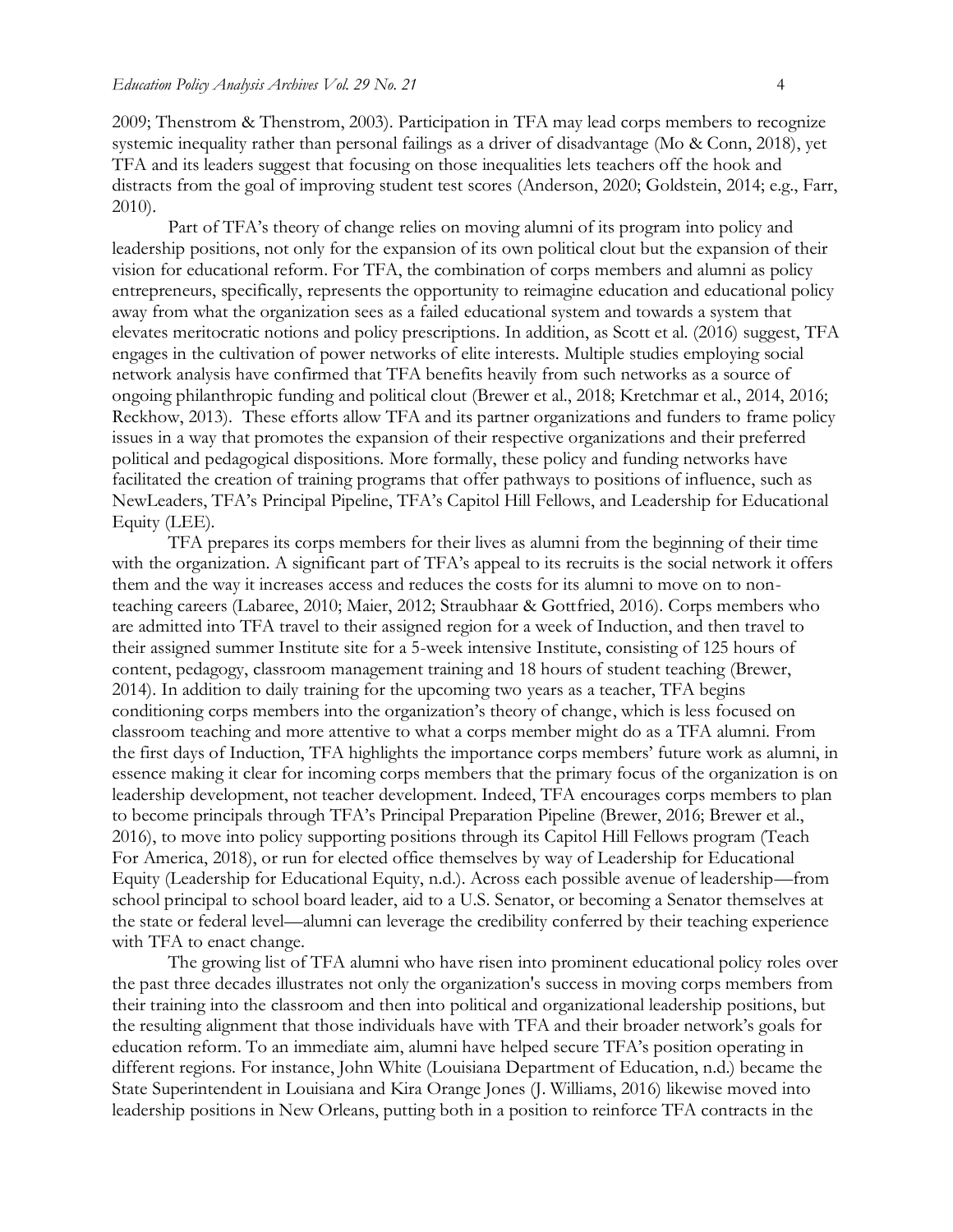2009; Thenstrom & Thenstrom, 2003). Participation in TFA may lead corps members to recognize systemic inequality rather than personal failings as a driver of disadvantage (Mo & Conn, 2018), yet TFA and its leaders suggest that focusing on those inequalities lets teachers off the hook and distracts from the goal of improving student test scores (Anderson, 2020; Goldstein, 2014; e.g., Farr, 2010).

Part of TFA's theory of change relies on moving alumni of its program into policy and leadership positions, not only for the expansion of its own political clout but the expansion of their vision for educational reform. For TFA, the combination of corps members and alumni as policy entrepreneurs, specifically, represents the opportunity to reimagine education and educational policy away from what the organization sees as a failed educational system and towards a system that elevates meritocratic notions and policy prescriptions. In addition, as Scott et al. (2016) suggest, TFA engages in the cultivation of power networks of elite interests. Multiple studies employing social network analysis have confirmed that TFA benefits heavily from such networks as a source of ongoing philanthropic funding and political clout (Brewer et al., 2018; Kretchmar et al., 2014, 2016; Reckhow, 2013). These efforts allow TFA and its partner organizations and funders to frame policy issues in a way that promotes the expansion of their respective organizations and their preferred political and pedagogical dispositions. More formally, these policy and funding networks have facilitated the creation of training programs that offer pathways to positions of influence, such as NewLeaders, TFA's Principal Pipeline, TFA's Capitol Hill Fellows, and Leadership for Educational Equity (LEE).

TFA prepares its corps members for their lives as alumni from the beginning of their time with the organization. A significant part of TFA's appeal to its recruits is the social network it offers them and the way it increases access and reduces the costs for its alumni to move on to nonteaching careers (Labaree, 2010; Maier, 2012; Straubhaar & Gottfried, 2016). Corps members who are admitted into TFA travel to their assigned region for a week of Induction, and then travel to their assigned summer Institute site for a 5-week intensive Institute, consisting of 125 hours of content, pedagogy, classroom management training and 18 hours of student teaching (Brewer, 2014). In addition to daily training for the upcoming two years as a teacher, TFA begins conditioning corps members into the organization's theory of change, which is less focused on classroom teaching and more attentive to what a corps member might do as a TFA alumni. From the first days of Induction, TFA highlights the importance corps members' future work as alumni, in essence making it clear for incoming corps members that the primary focus of the organization is on leadership development, not teacher development. Indeed, TFA encourages corps members to plan to become principals through TFA's Principal Preparation Pipeline (Brewer, 2016; Brewer et al., 2016), to move into policy supporting positions through its Capitol Hill Fellows program (Teach For America, 2018), or run for elected office themselves by way of Leadership for Educational Equity (Leadership for Educational Equity, n.d.). Across each possible avenue of leadership—from school principal to school board leader, aid to a U.S. Senator, or becoming a Senator themselves at the state or federal level—alumni can leverage the credibility conferred by their teaching experience with TFA to enact change.

The growing list of TFA alumni who have risen into prominent educational policy roles over the past three decades illustrates not only the organization's success in moving corps members from their training into the classroom and then into political and organizational leadership positions, but the resulting alignment that those individuals have with TFA and their broader network's goals for education reform. To an immediate aim, alumni have helped secure TFA's position operating in different regions. For instance, John White (Louisiana Department of Education, n.d.) became the State Superintendent in Louisiana and Kira Orange Jones (J. Williams, 2016) likewise moved into leadership positions in New Orleans, putting both in a position to reinforce TFA contracts in the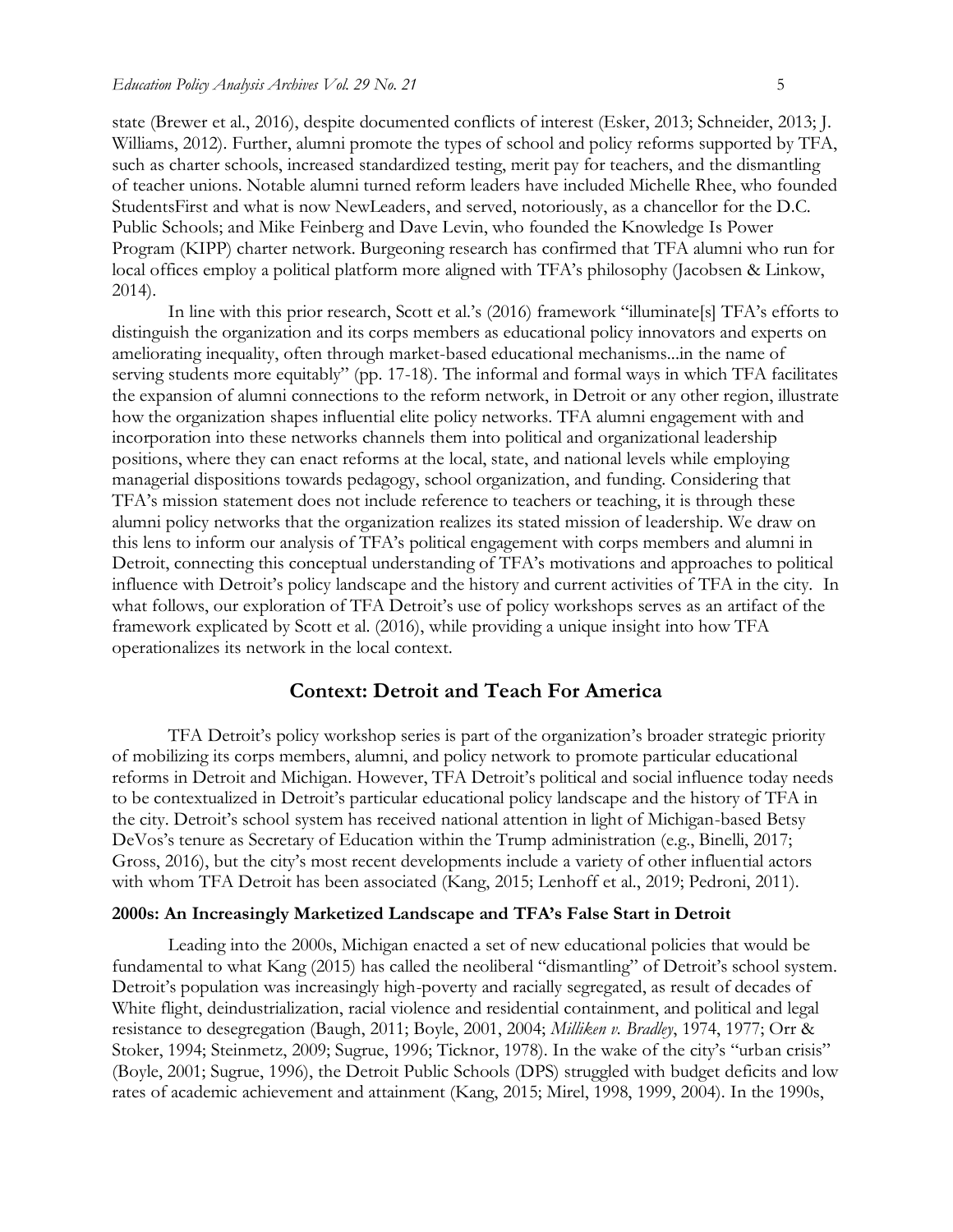state (Brewer et al., 2016), despite documented conflicts of interest (Esker, 2013; Schneider, 2013; J. Williams, 2012). Further, alumni promote the types of school and policy reforms supported by TFA, such as charter schools, increased standardized testing, merit pay for teachers, and the dismantling of teacher unions. Notable alumni turned reform leaders have included Michelle Rhee, who founded StudentsFirst and what is now NewLeaders, and served, notoriously, as a chancellor for the D.C. Public Schools; and Mike Feinberg and Dave Levin, who founded the Knowledge Is Power Program (KIPP) charter network. Burgeoning research has confirmed that TFA alumni who run for local offices employ a political platform more aligned with TFA's philosophy (Jacobsen & Linkow, 2014).

In line with this prior research, Scott et al.'s (2016) framework "illuminate[s] TFA's efforts to distinguish the organization and its corps members as educational policy innovators and experts on ameliorating inequality, often through market-based educational mechanisms...in the name of serving students more equitably" (pp. 17-18). The informal and formal ways in which TFA facilitates the expansion of alumni connections to the reform network, in Detroit or any other region, illustrate how the organization shapes influential elite policy networks. TFA alumni engagement with and incorporation into these networks channels them into political and organizational leadership positions, where they can enact reforms at the local, state, and national levels while employing managerial dispositions towards pedagogy, school organization, and funding. Considering that TFA's mission statement does not include reference to teachers or teaching, it is through these alumni policy networks that the organization realizes its stated mission of leadership. We draw on this lens to inform our analysis of TFA's political engagement with corps members and alumni in Detroit, connecting this conceptual understanding of TFA's motivations and approaches to political influence with Detroit's policy landscape and the history and current activities of TFA in the city. In what follows, our exploration of TFA Detroit's use of policy workshops serves as an artifact of the framework explicated by Scott et al. (2016), while providing a unique insight into how TFA operationalizes its network in the local context.

## **Context: Detroit and Teach For America**

TFA Detroit's policy workshop series is part of the organization's broader strategic priority of mobilizing its corps members, alumni, and policy network to promote particular educational reforms in Detroit and Michigan. However, TFA Detroit's political and social influence today needs to be contextualized in Detroit's particular educational policy landscape and the history of TFA in the city. Detroit's school system has received national attention in light of Michigan-based Betsy DeVos's tenure as Secretary of Education within the Trump administration (e.g., Binelli, 2017; Gross, 2016), but the city's most recent developments include a variety of other influential actors with whom TFA Detroit has been associated (Kang, 2015; Lenhoff et al., 2019; Pedroni, 2011).

### **2000s: An Increasingly Marketized Landscape and TFA's False Start in Detroit**

Leading into the 2000s, Michigan enacted a set of new educational policies that would be fundamental to what Kang (2015) has called the neoliberal "dismantling" of Detroit's school system. Detroit's population was increasingly high-poverty and racially segregated, as result of decades of White flight, deindustrialization, racial violence and residential containment, and political and legal resistance to desegregation (Baugh, 2011; Boyle, 2001, 2004; *Milliken v. Bradley*, 1974, 1977; Orr & Stoker, 1994; Steinmetz, 2009; Sugrue, 1996; Ticknor, 1978). In the wake of the city's "urban crisis" (Boyle, 2001; Sugrue, 1996), the Detroit Public Schools (DPS) struggled with budget deficits and low rates of academic achievement and attainment (Kang, 2015; Mirel, 1998, 1999, 2004). In the 1990s,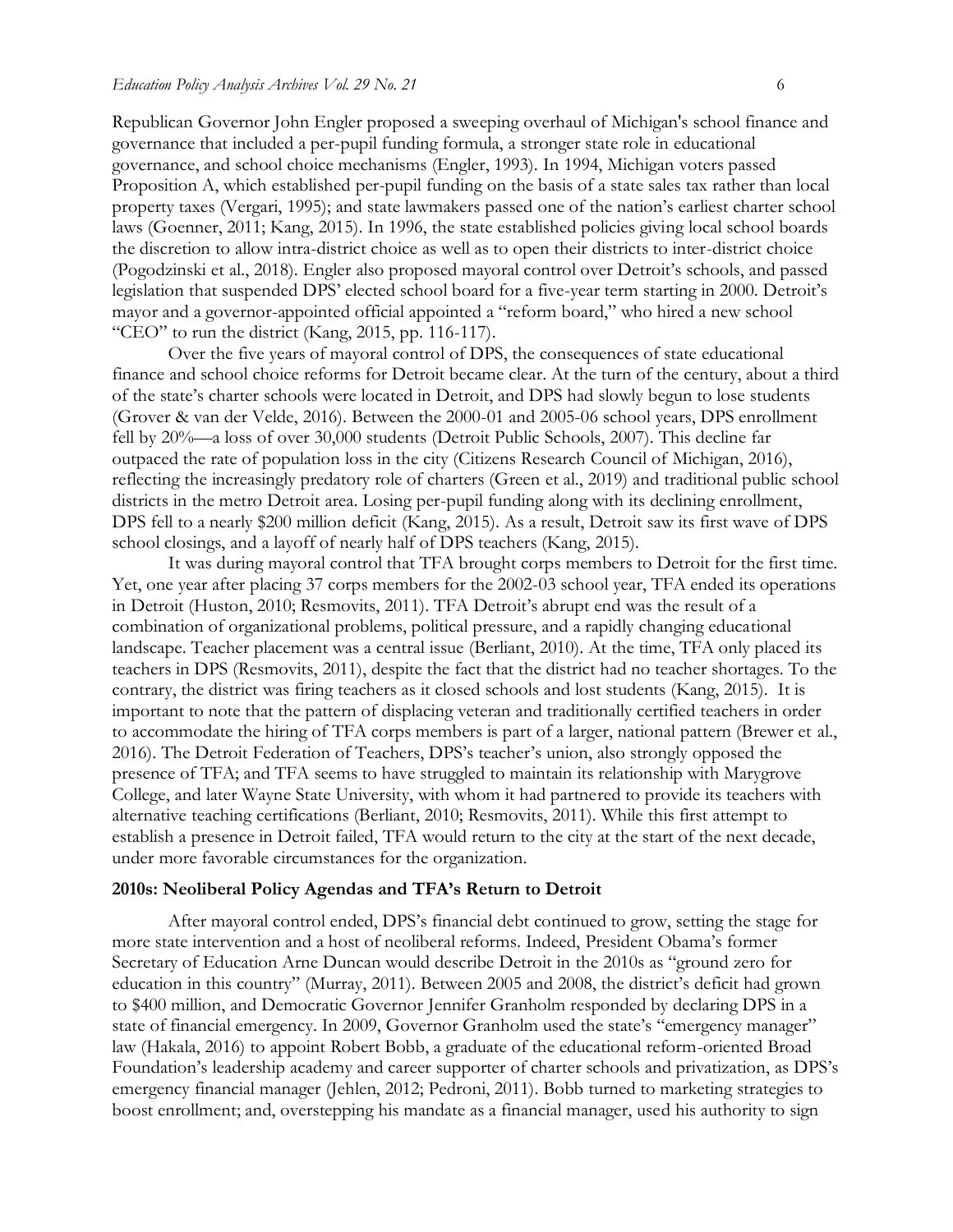Republican Governor John Engler proposed a sweeping overhaul of Michigan's school finance and governance that included a per-pupil funding formula, a stronger state role in educational governance, and school choice mechanisms (Engler, 1993). In 1994, Michigan voters passed Proposition A, which established per-pupil funding on the basis of a state sales tax rather than local property taxes (Vergari, 1995); and state lawmakers passed one of the nation's earliest charter school laws (Goenner, 2011; Kang, 2015). In 1996, the state established policies giving local school boards the discretion to allow intra-district choice as well as to open their districts to inter-district choice (Pogodzinski et al., 2018). Engler also proposed mayoral control over Detroit's schools, and passed legislation that suspended DPS' elected school board for a five-year term starting in 2000. Detroit's mayor and a governor-appointed official appointed a "reform board," who hired a new school "CEO" to run the district (Kang, 2015, pp. 116-117).

Over the five years of mayoral control of DPS, the consequences of state educational finance and school choice reforms for Detroit became clear. At the turn of the century, about a third of the state's charter schools were located in Detroit, and DPS had slowly begun to lose students (Grover & van der Velde, 2016). Between the 2000-01 and 2005-06 school years, DPS enrollment fell by 20%—a loss of over 30,000 students (Detroit Public Schools, 2007). This decline far outpaced the rate of population loss in the city (Citizens Research Council of Michigan, 2016), reflecting the increasingly predatory role of charters (Green et al., 2019) and traditional public school districts in the metro Detroit area. Losing per-pupil funding along with its declining enrollment, DPS fell to a nearly \$200 million deficit (Kang, 2015). As a result, Detroit saw its first wave of DPS school closings, and a layoff of nearly half of DPS teachers (Kang, 2015).

It was during mayoral control that TFA brought corps members to Detroit for the first time. Yet, one year after placing 37 corps members for the 2002-03 school year, TFA ended its operations in Detroit (Huston, 2010; Resmovits, 2011). TFA Detroit's abrupt end was the result of a combination of organizational problems, political pressure, and a rapidly changing educational landscape. Teacher placement was a central issue (Berliant, 2010). At the time, TFA only placed its teachers in DPS (Resmovits, 2011), despite the fact that the district had no teacher shortages. To the contrary, the district was firing teachers as it closed schools and lost students (Kang, 2015). It is important to note that the pattern of displacing veteran and traditionally certified teachers in order to accommodate the hiring of TFA corps members is part of a larger, national pattern (Brewer et al., 2016). The Detroit Federation of Teachers, DPS's teacher's union, also strongly opposed the presence of TFA; and TFA seems to have struggled to maintain its relationship with Marygrove College, and later Wayne State University, with whom it had partnered to provide its teachers with alternative teaching certifications (Berliant, 2010; Resmovits, 2011). While this first attempt to establish a presence in Detroit failed, TFA would return to the city at the start of the next decade, under more favorable circumstances for the organization.

### **2010s: Neoliberal Policy Agendas and TFA's Return to Detroit**

After mayoral control ended, DPS's financial debt continued to grow, setting the stage for more state intervention and a host of neoliberal reforms. Indeed, President Obama's former Secretary of Education Arne Duncan would describe Detroit in the 2010s as "ground zero for education in this country" (Murray, 2011). Between 2005 and 2008, the district's deficit had grown to \$400 million, and Democratic Governor Jennifer Granholm responded by declaring DPS in a state of financial emergency. In 2009, Governor Granholm used the state's "emergency manager" law (Hakala, 2016) to appoint Robert Bobb, a graduate of the educational reform-oriented Broad Foundation's leadership academy and career supporter of charter schools and privatization, as DPS's emergency financial manager (Jehlen, 2012; Pedroni, 2011). Bobb turned to marketing strategies to boost enrollment; and, overstepping his mandate as a financial manager, used his authority to sign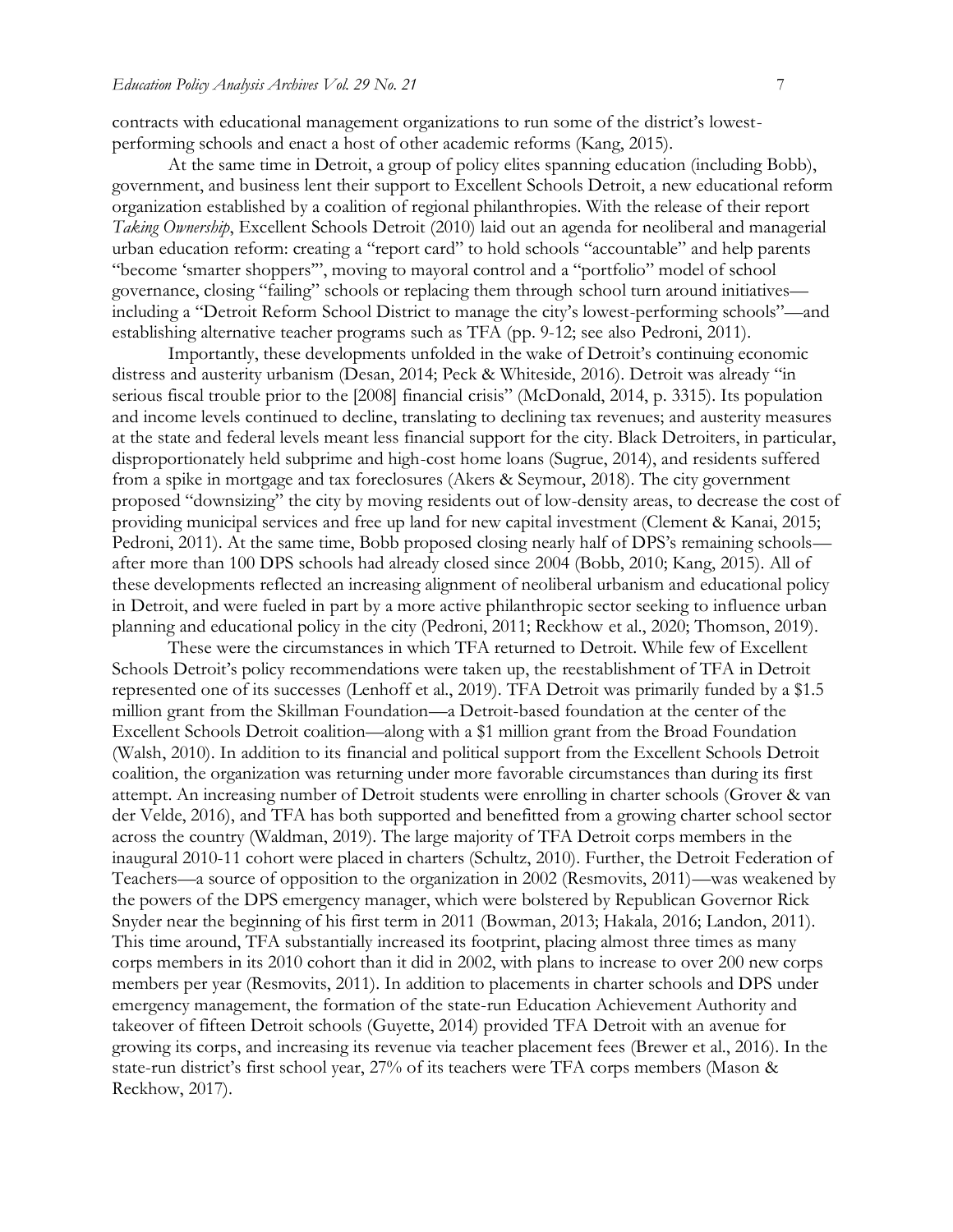contracts with educational management organizations to run some of the district's lowestperforming schools and enact a host of other academic reforms (Kang, 2015).

At the same time in Detroit, a group of policy elites spanning education (including Bobb), government, and business lent their support to Excellent Schools Detroit, a new educational reform organization established by a coalition of regional philanthropies. With the release of their report *Taking Ownership*, Excellent Schools Detroit (2010) laid out an agenda for neoliberal and managerial urban education reform: creating a "report card" to hold schools "accountable" and help parents "become 'smarter shoppers'", moving to mayoral control and a "portfolio" model of school governance, closing "failing" schools or replacing them through school turn around initiatives including a "Detroit Reform School District to manage the city's lowest-performing schools"—and establishing alternative teacher programs such as TFA (pp. 9-12; see also Pedroni, 2011).

Importantly, these developments unfolded in the wake of Detroit's continuing economic distress and austerity urbanism (Desan, 2014; Peck & Whiteside, 2016). Detroit was already "in serious fiscal trouble prior to the [2008] financial crisis" (McDonald, 2014, p. 3315). Its population and income levels continued to decline, translating to declining tax revenues; and austerity measures at the state and federal levels meant less financial support for the city. Black Detroiters, in particular, disproportionately held subprime and high-cost home loans (Sugrue, 2014), and residents suffered from a spike in mortgage and tax foreclosures (Akers & Seymour, 2018). The city government proposed "downsizing" the city by moving residents out of low-density areas, to decrease the cost of providing municipal services and free up land for new capital investment (Clement & Kanai, 2015; Pedroni, 2011). At the same time, Bobb proposed closing nearly half of DPS's remaining schools after more than 100 DPS schools had already closed since 2004 (Bobb, 2010; Kang, 2015). All of these developments reflected an increasing alignment of neoliberal urbanism and educational policy in Detroit, and were fueled in part by a more active philanthropic sector seeking to influence urban planning and educational policy in the city (Pedroni, 2011; Reckhow et al., 2020; Thomson, 2019).

These were the circumstances in which TFA returned to Detroit. While few of Excellent Schools Detroit's policy recommendations were taken up, the reestablishment of TFA in Detroit represented one of its successes (Lenhoff et al., 2019). TFA Detroit was primarily funded by a \$1.5 million grant from the Skillman Foundation—a Detroit-based foundation at the center of the Excellent Schools Detroit coalition—along with a \$1 million grant from the Broad Foundation (Walsh, 2010). In addition to its financial and political support from the Excellent Schools Detroit coalition, the organization was returning under more favorable circumstances than during its first attempt. An increasing number of Detroit students were enrolling in charter schools (Grover & van der Velde, 2016), and TFA has both supported and benefitted from a growing charter school sector across the country (Waldman, 2019). The large majority of TFA Detroit corps members in the inaugural 2010-11 cohort were placed in charters (Schultz, 2010). Further, the Detroit Federation of Teachers—a source of opposition to the organization in 2002 (Resmovits, 2011)—was weakened by the powers of the DPS emergency manager, which were bolstered by Republican Governor Rick Snyder near the beginning of his first term in 2011 (Bowman, 2013; Hakala, 2016; Landon, 2011). This time around, TFA substantially increased its footprint, placing almost three times as many corps members in its 2010 cohort than it did in 2002, with plans to increase to over 200 new corps members per year (Resmovits, 2011). In addition to placements in charter schools and DPS under emergency management, the formation of the state-run Education Achievement Authority and takeover of fifteen Detroit schools (Guyette, 2014) provided TFA Detroit with an avenue for growing its corps, and increasing its revenue via teacher placement fees (Brewer et al., 2016). In the state-run district's first school year, 27% of its teachers were TFA corps members (Mason & Reckhow, 2017).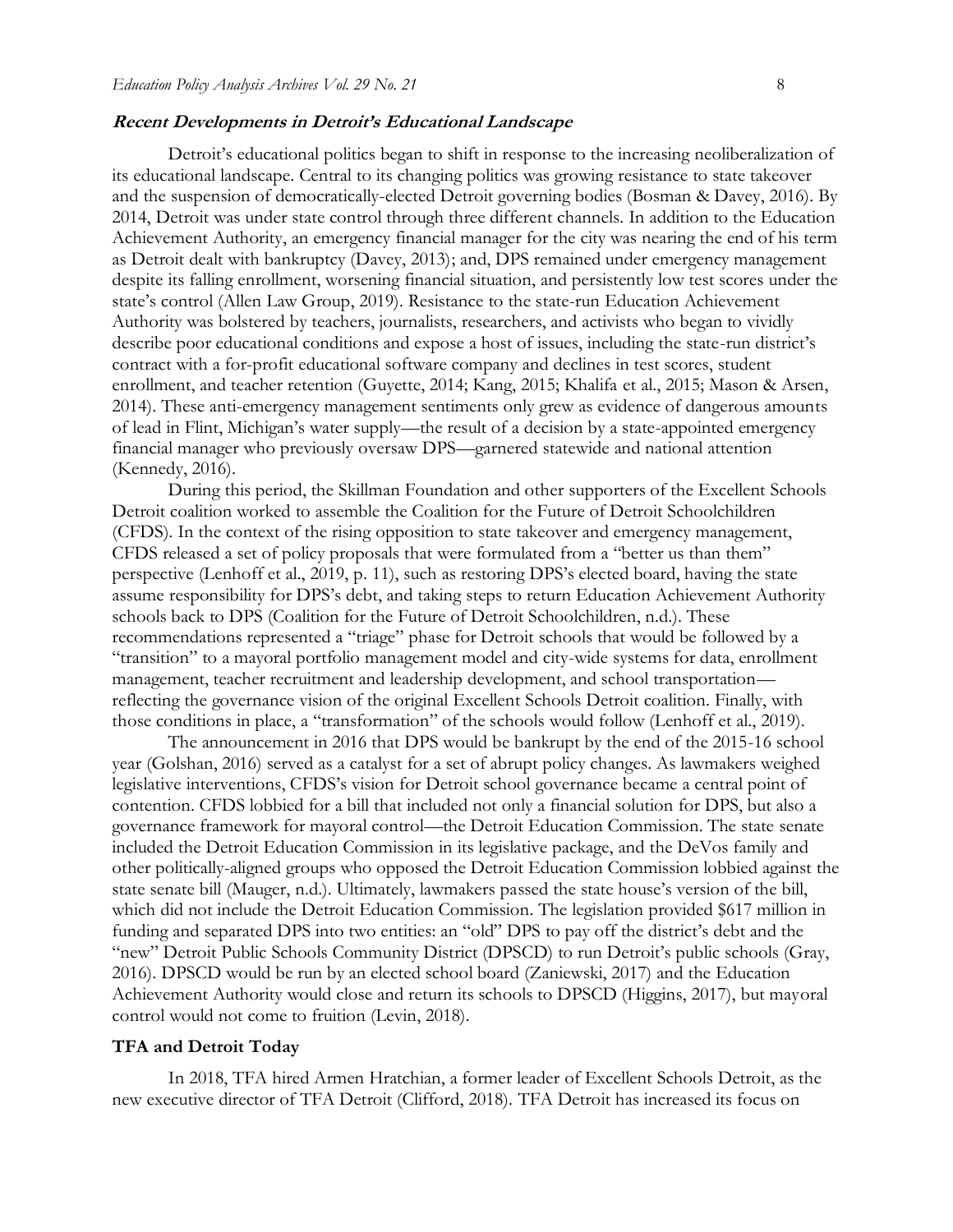#### **Recent Developments in Detroit's Educational Landscape**

Detroit's educational politics began to shift in response to the increasing neoliberalization of its educational landscape. Central to its changing politics was growing resistance to state takeover and the suspension of democratically-elected Detroit governing bodies (Bosman & Davey, 2016). By 2014, Detroit was under state control through three different channels. In addition to the Education Achievement Authority, an emergency financial manager for the city was nearing the end of his term as Detroit dealt with bankruptcy (Davey, 2013); and, DPS remained under emergency management despite its falling enrollment, worsening financial situation, and persistently low test scores under the state's control (Allen Law Group, 2019). Resistance to the state-run Education Achievement Authority was bolstered by teachers, journalists, researchers, and activists who began to vividly describe poor educational conditions and expose a host of issues, including the state-run district's contract with a for-profit educational software company and declines in test scores, student enrollment, and teacher retention (Guyette, 2014; Kang, 2015; Khalifa et al., 2015; Mason & Arsen, 2014). These anti-emergency management sentiments only grew as evidence of dangerous amounts of lead in Flint, Michigan's water supply—the result of a decision by a state-appointed emergency financial manager who previously oversaw DPS—garnered statewide and national attention (Kennedy, 2016).

During this period, the Skillman Foundation and other supporters of the Excellent Schools Detroit coalition worked to assemble the Coalition for the Future of Detroit Schoolchildren (CFDS). In the context of the rising opposition to state takeover and emergency management, CFDS released a set of policy proposals that were formulated from a "better us than them" perspective (Lenhoff et al., 2019, p. 11), such as restoring DPS's elected board, having the state assume responsibility for DPS's debt, and taking steps to return Education Achievement Authority schools back to DPS (Coalition for the Future of Detroit Schoolchildren, n.d.). These recommendations represented a "triage" phase for Detroit schools that would be followed by a "transition" to a mayoral portfolio management model and city-wide systems for data, enrollment management, teacher recruitment and leadership development, and school transportation reflecting the governance vision of the original Excellent Schools Detroit coalition. Finally, with those conditions in place, a "transformation" of the schools would follow (Lenhoff et al., 2019).

The announcement in 2016 that DPS would be bankrupt by the end of the 2015-16 school year (Golshan, 2016) served as a catalyst for a set of abrupt policy changes. As lawmakers weighed legislative interventions, CFDS's vision for Detroit school governance became a central point of contention. CFDS lobbied for a bill that included not only a financial solution for DPS, but also a governance framework for mayoral control—the Detroit Education Commission. The state senate included the Detroit Education Commission in its legislative package, and the DeVos family and other politically-aligned groups who opposed the Detroit Education Commission lobbied against the state senate bill (Mauger, n.d.). Ultimately, lawmakers passed the state house's version of the bill, which did not include the Detroit Education Commission. The legislation provided \$617 million in funding and separated DPS into two entities: an "old" DPS to pay off the district's debt and the "new" Detroit Public Schools Community District (DPSCD) to run Detroit's public schools (Gray, 2016). DPSCD would be run by an elected school board (Zaniewski, 2017) and the Education Achievement Authority would close and return its schools to DPSCD (Higgins, 2017), but mayoral control would not come to fruition (Levin, 2018).

#### **TFA and Detroit Today**

In 2018, TFA hired Armen Hratchian, a former leader of Excellent Schools Detroit, as the new executive director of TFA Detroit (Clifford, 2018). TFA Detroit has increased its focus on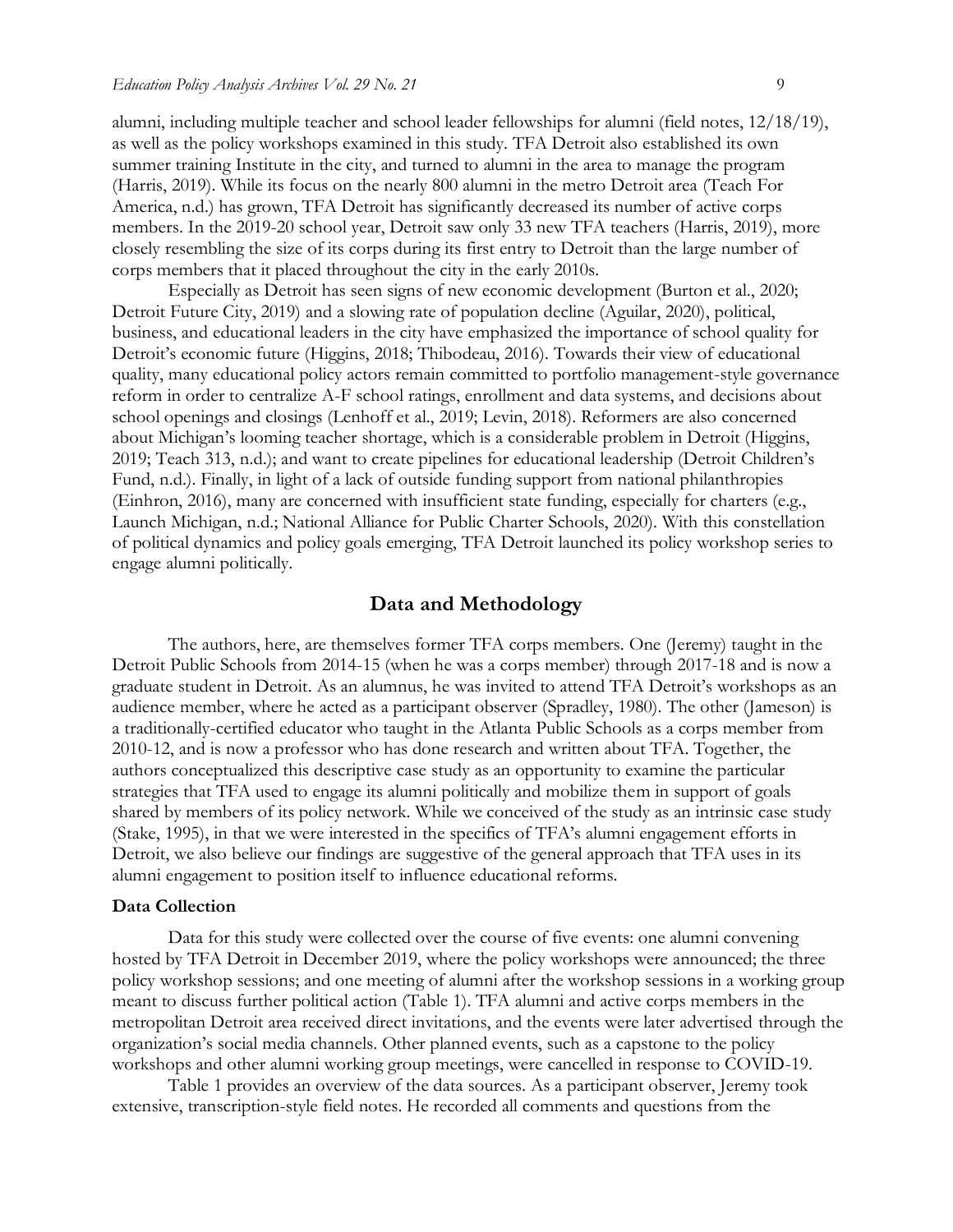alumni, including multiple teacher and school leader fellowships for alumni (field notes, 12/18/19), as well as the policy workshops examined in this study. TFA Detroit also established its own summer training Institute in the city, and turned to alumni in the area to manage the program (Harris, 2019). While its focus on the nearly 800 alumni in the metro Detroit area (Teach For America, n.d.) has grown, TFA Detroit has significantly decreased its number of active corps members. In the 2019-20 school year, Detroit saw only 33 new TFA teachers (Harris, 2019), more closely resembling the size of its corps during its first entry to Detroit than the large number of corps members that it placed throughout the city in the early 2010s.

Especially as Detroit has seen signs of new economic development (Burton et al., 2020; Detroit Future City, 2019) and a slowing rate of population decline (Aguilar, 2020), political, business, and educational leaders in the city have emphasized the importance of school quality for Detroit's economic future (Higgins, 2018; Thibodeau, 2016). Towards their view of educational quality, many educational policy actors remain committed to portfolio management-style governance reform in order to centralize A-F school ratings, enrollment and data systems, and decisions about school openings and closings (Lenhoff et al., 2019; Levin, 2018). Reformers are also concerned about Michigan's looming teacher shortage, which is a considerable problem in Detroit (Higgins, 2019; Teach 313, n.d.); and want to create pipelines for educational leadership (Detroit Children's Fund, n.d.). Finally, in light of a lack of outside funding support from national philanthropies (Einhron, 2016), many are concerned with insufficient state funding, especially for charters (e.g., Launch Michigan, n.d.; National Alliance for Public Charter Schools, 2020). With this constellation of political dynamics and policy goals emerging, TFA Detroit launched its policy workshop series to engage alumni politically.

### **Data and Methodology**

The authors, here, are themselves former TFA corps members. One (Jeremy) taught in the Detroit Public Schools from 2014-15 (when he was a corps member) through 2017-18 and is now a graduate student in Detroit. As an alumnus, he was invited to attend TFA Detroit's workshops as an audience member, where he acted as a participant observer (Spradley, 1980). The other (Jameson) is a traditionally-certified educator who taught in the Atlanta Public Schools as a corps member from 2010-12, and is now a professor who has done research and written about TFA. Together, the authors conceptualized this descriptive case study as an opportunity to examine the particular strategies that TFA used to engage its alumni politically and mobilize them in support of goals shared by members of its policy network. While we conceived of the study as an intrinsic case study (Stake, 1995), in that we were interested in the specifics of TFA's alumni engagement efforts in Detroit, we also believe our findings are suggestive of the general approach that TFA uses in its alumni engagement to position itself to influence educational reforms.

### **Data Collection**

Data for this study were collected over the course of five events: one alumni convening hosted by TFA Detroit in December 2019, where the policy workshops were announced; the three policy workshop sessions; and one meeting of alumni after the workshop sessions in a working group meant to discuss further political action (Table 1). TFA alumni and active corps members in the metropolitan Detroit area received direct invitations, and the events were later advertised through the organization's social media channels. Other planned events, such as a capstone to the policy workshops and other alumni working group meetings, were cancelled in response to COVID-19.

Table 1 provides an overview of the data sources. As a participant observer, Jeremy took extensive, transcription-style field notes. He recorded all comments and questions from the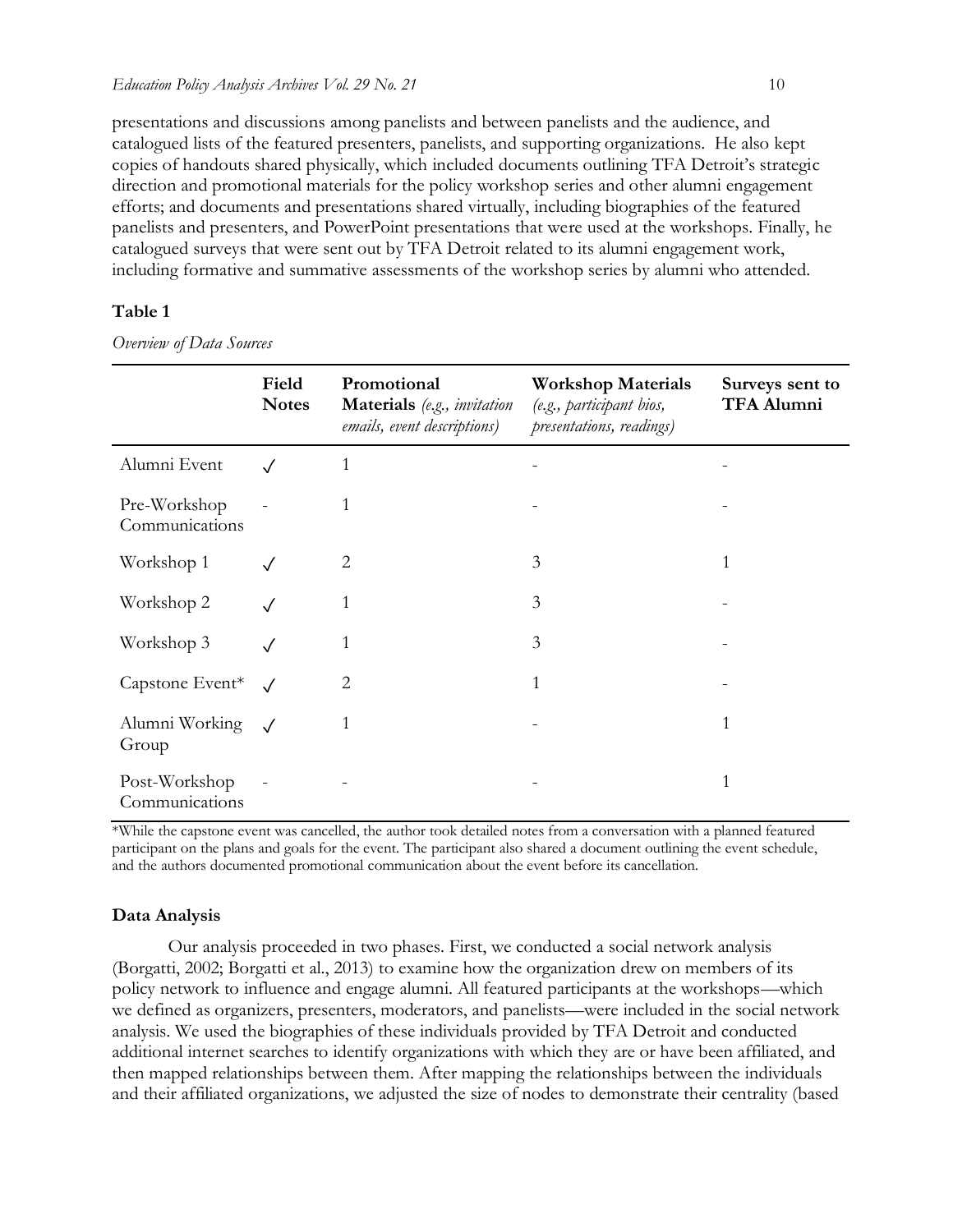presentations and discussions among panelists and between panelists and the audience, and catalogued lists of the featured presenters, panelists, and supporting organizations. He also kept copies of handouts shared physically, which included documents outlining TFA Detroit's strategic direction and promotional materials for the policy workshop series and other alumni engagement efforts; and documents and presentations shared virtually, including biographies of the featured panelists and presenters, and PowerPoint presentations that were used at the workshops. Finally, he catalogued surveys that were sent out by TFA Detroit related to its alumni engagement work, including formative and summative assessments of the workshop series by alumni who attended.

### **Table 1**

*Overview of Data Sources*

|                                 | Field<br><b>Notes</b> | Promotional<br>Materials (e.g., invitation<br>emails, event descriptions) | <b>Workshop Materials</b><br>(e.g., participant bios,<br>presentations, readings) | Surveys sent to<br><b>TFA Alumni</b> |
|---------------------------------|-----------------------|---------------------------------------------------------------------------|-----------------------------------------------------------------------------------|--------------------------------------|
| Alumni Event                    |                       | 1                                                                         |                                                                                   |                                      |
| Pre-Workshop<br>Communications  |                       | 1                                                                         |                                                                                   |                                      |
| Workshop 1                      |                       | 2                                                                         | 3                                                                                 |                                      |
| Workshop 2                      |                       | 1                                                                         | 3                                                                                 |                                      |
| Workshop 3                      |                       | 1                                                                         | 3                                                                                 |                                      |
| Capstone Event*                 | $\sqrt{}$             | $\overline{2}$                                                            | 1                                                                                 |                                      |
| Alumni Working<br>Group         | $\sqrt{ }$            | 1                                                                         |                                                                                   | 1                                    |
| Post-Workshop<br>Communications |                       |                                                                           |                                                                                   | 1                                    |

\*While the capstone event was cancelled, the author took detailed notes from a conversation with a planned featured participant on the plans and goals for the event. The participant also shared a document outlining the event schedule, and the authors documented promotional communication about the event before its cancellation.

### **Data Analysis**

Our analysis proceeded in two phases. First, we conducted a social network analysis (Borgatti, 2002; Borgatti et al., 2013) to examine how the organization drew on members of its policy network to influence and engage alumni. All featured participants at the workshops—which we defined as organizers, presenters, moderators, and panelists—were included in the social network analysis. We used the biographies of these individuals provided by TFA Detroit and conducted additional internet searches to identify organizations with which they are or have been affiliated, and then mapped relationships between them. After mapping the relationships between the individuals and their affiliated organizations, we adjusted the size of nodes to demonstrate their centrality (based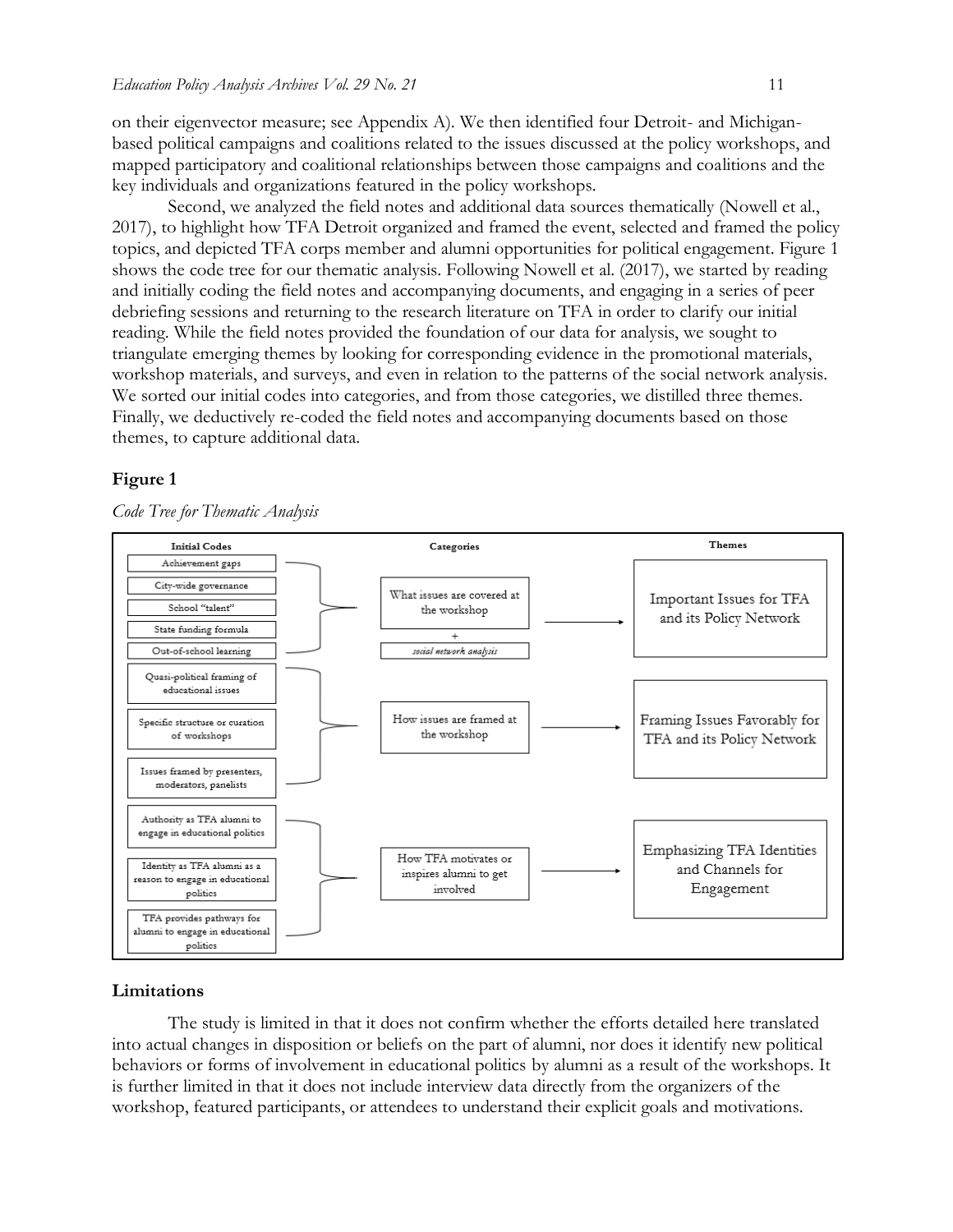on their eigenvector measure; see Appendix A). We then identified four Detroit- and Michiganbased political campaigns and coalitions related to the issues discussed at the policy workshops, and mapped participatory and coalitional relationships between those campaigns and coalitions and the key individuals and organizations featured in the policy workshops.

Second, we analyzed the field notes and additional data sources thematically (Nowell et al., 2017), to highlight how TFA Detroit organized and framed the event, selected and framed the policy topics, and depicted TFA corps member and alumni opportunities for political engagement. Figure 1 shows the code tree for our thematic analysis. Following Nowell et al. (2017), we started by reading and initially coding the field notes and accompanying documents, and engaging in a series of peer debriefing sessions and returning to the research literature on TFA in order to clarify our initial reading. While the field notes provided the foundation of our data for analysis, we sought to triangulate emerging themes by looking for corresponding evidence in the promotional materials, workshop materials, and surveys, and even in relation to the patterns of the social network analysis. We sorted our initial codes into categories, and from those categories, we distilled three themes. Finally, we deductively re-coded the field notes and accompanying documents based on those themes, to capture additional data.

### **Figure 1**

*Code Tree for Thematic Analysis*



### **Limitations**

The study is limited in that it does not confirm whether the efforts detailed here translated into actual changes in disposition or beliefs on the part of alumni, nor does it identify new political behaviors or forms of involvement in educational politics by alumni as a result of the workshops. It is further limited in that it does not include interview data directly from the organizers of the workshop, featured participants, or attendees to understand their explicit goals and motivations.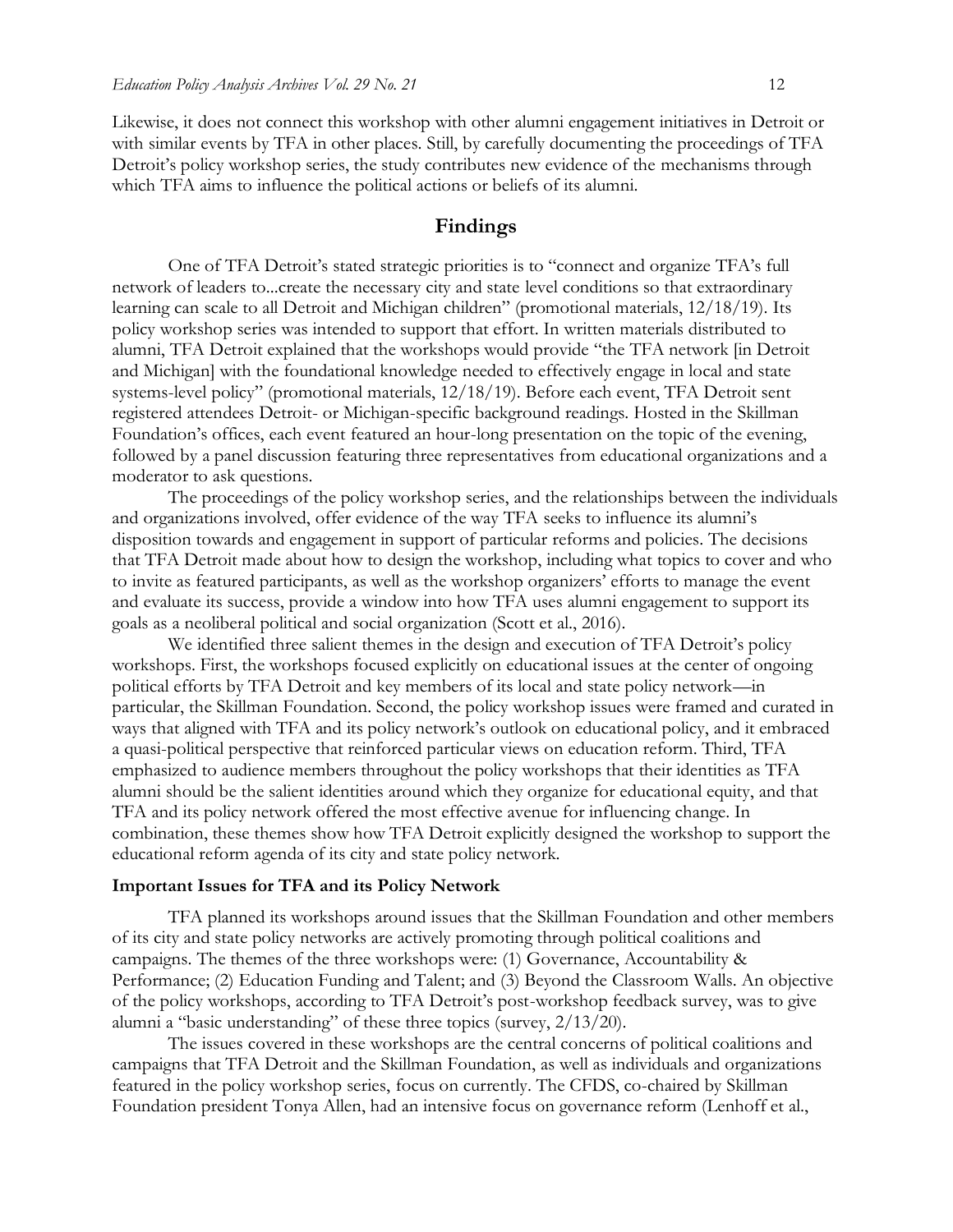Likewise, it does not connect this workshop with other alumni engagement initiatives in Detroit or with similar events by TFA in other places. Still, by carefully documenting the proceedings of TFA Detroit's policy workshop series, the study contributes new evidence of the mechanisms through which TFA aims to influence the political actions or beliefs of its alumni.

### **Findings**

One of TFA Detroit's stated strategic priorities is to "connect and organize TFA's full network of leaders to...create the necessary city and state level conditions so that extraordinary learning can scale to all Detroit and Michigan children" (promotional materials, 12/18/19). Its policy workshop series was intended to support that effort. In written materials distributed to alumni, TFA Detroit explained that the workshops would provide "the TFA network [in Detroit and Michigan] with the foundational knowledge needed to effectively engage in local and state systems-level policy" (promotional materials, 12/18/19). Before each event, TFA Detroit sent registered attendees Detroit- or Michigan-specific background readings. Hosted in the Skillman Foundation's offices, each event featured an hour-long presentation on the topic of the evening, followed by a panel discussion featuring three representatives from educational organizations and a moderator to ask questions.

The proceedings of the policy workshop series, and the relationships between the individuals and organizations involved, offer evidence of the way TFA seeks to influence its alumni's disposition towards and engagement in support of particular reforms and policies. The decisions that TFA Detroit made about how to design the workshop, including what topics to cover and who to invite as featured participants, as well as the workshop organizers' efforts to manage the event and evaluate its success, provide a window into how TFA uses alumni engagement to support its goals as a neoliberal political and social organization (Scott et al., 2016).

We identified three salient themes in the design and execution of TFA Detroit's policy workshops. First, the workshops focused explicitly on educational issues at the center of ongoing political efforts by TFA Detroit and key members of its local and state policy network—in particular, the Skillman Foundation. Second, the policy workshop issues were framed and curated in ways that aligned with TFA and its policy network's outlook on educational policy, and it embraced a quasi-political perspective that reinforced particular views on education reform. Third, TFA emphasized to audience members throughout the policy workshops that their identities as TFA alumni should be the salient identities around which they organize for educational equity, and that TFA and its policy network offered the most effective avenue for influencing change. In combination, these themes show how TFA Detroit explicitly designed the workshop to support the educational reform agenda of its city and state policy network.

#### **Important Issues for TFA and its Policy Network**

TFA planned its workshops around issues that the Skillman Foundation and other members of its city and state policy networks are actively promoting through political coalitions and campaigns. The themes of the three workshops were: (1) Governance, Accountability & Performance; (2) Education Funding and Talent; and (3) Beyond the Classroom Walls. An objective of the policy workshops, according to TFA Detroit's post-workshop feedback survey, was to give alumni a "basic understanding" of these three topics (survey, 2/13/20).

The issues covered in these workshops are the central concerns of political coalitions and campaigns that TFA Detroit and the Skillman Foundation, as well as individuals and organizations featured in the policy workshop series, focus on currently. The CFDS, co-chaired by Skillman Foundation president Tonya Allen, had an intensive focus on governance reform (Lenhoff et al.,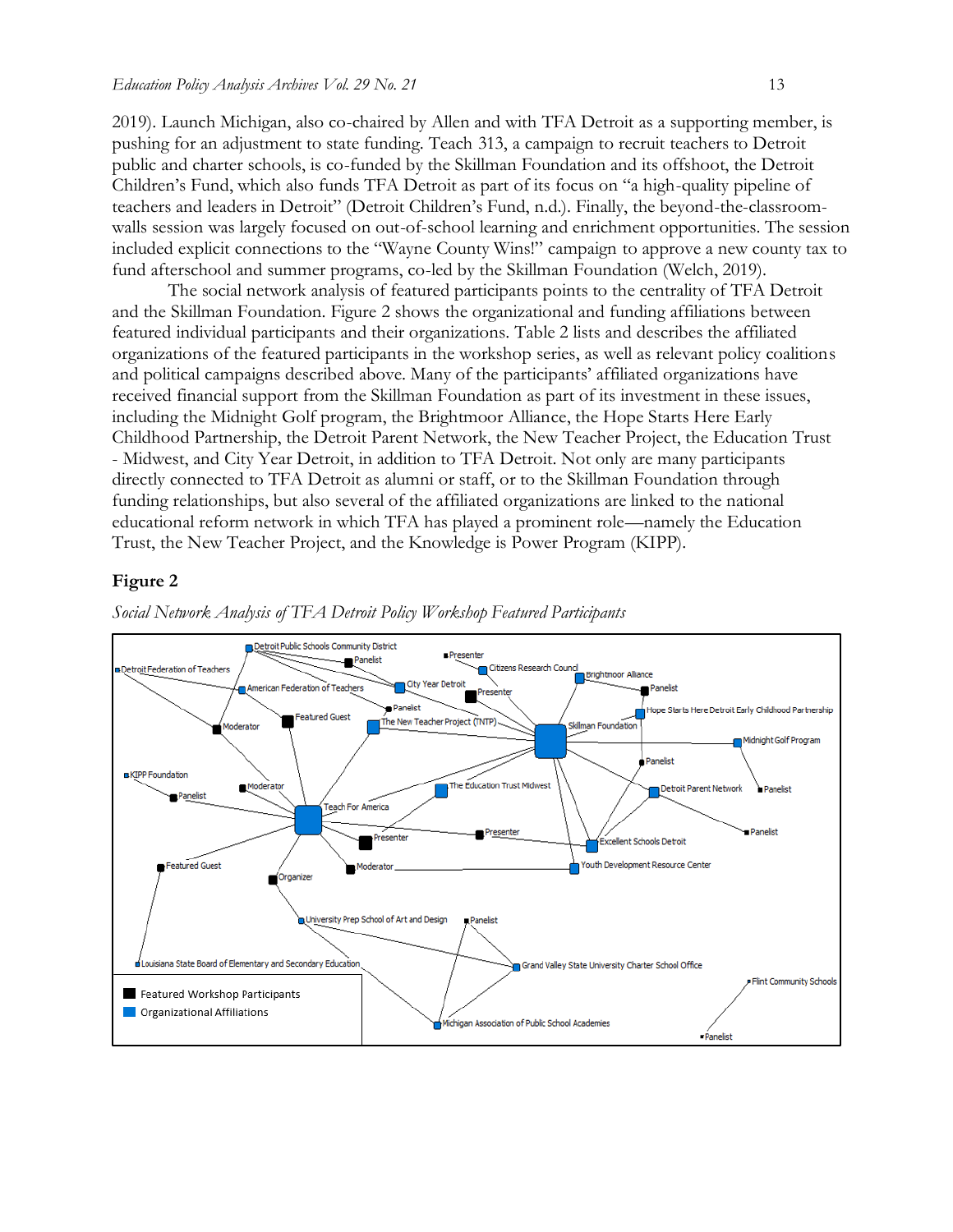2019). Launch Michigan, also co-chaired by Allen and with TFA Detroit as a supporting member, is pushing for an adjustment to state funding. Teach 313, a campaign to recruit teachers to Detroit public and charter schools, is co-funded by the Skillman Foundation and its offshoot, the Detroit Children's Fund, which also funds TFA Detroit as part of its focus on "a high-quality pipeline of teachers and leaders in Detroit" (Detroit Children's Fund, n.d.). Finally, the beyond-the-classroomwalls session was largely focused on out-of-school learning and enrichment opportunities. The session included explicit connections to the "Wayne County Wins!" campaign to approve a new county tax to fund afterschool and summer programs, co-led by the Skillman Foundation (Welch, 2019).

The social network analysis of featured participants points to the centrality of TFA Detroit and the Skillman Foundation. Figure 2 shows the organizational and funding affiliations between featured individual participants and their organizations. Table 2 lists and describes the affiliated organizations of the featured participants in the workshop series, as well as relevant policy coalitions and political campaigns described above. Many of the participants' affiliated organizations have received financial support from the Skillman Foundation as part of its investment in these issues, including the Midnight Golf program, the Brightmoor Alliance, the Hope Starts Here Early Childhood Partnership, the Detroit Parent Network, the New Teacher Project, the Education Trust - Midwest, and City Year Detroit, in addition to TFA Detroit. Not only are many participants directly connected to TFA Detroit as alumni or staff, or to the Skillman Foundation through funding relationships, but also several of the affiliated organizations are linked to the national educational reform network in which TFA has played a prominent role—namely the Education Trust, the New Teacher Project, and the Knowledge is Power Program (KIPP).

### **Figure 2**



*Social Network Analysis of TFA Detroit Policy Workshop Featured Participants*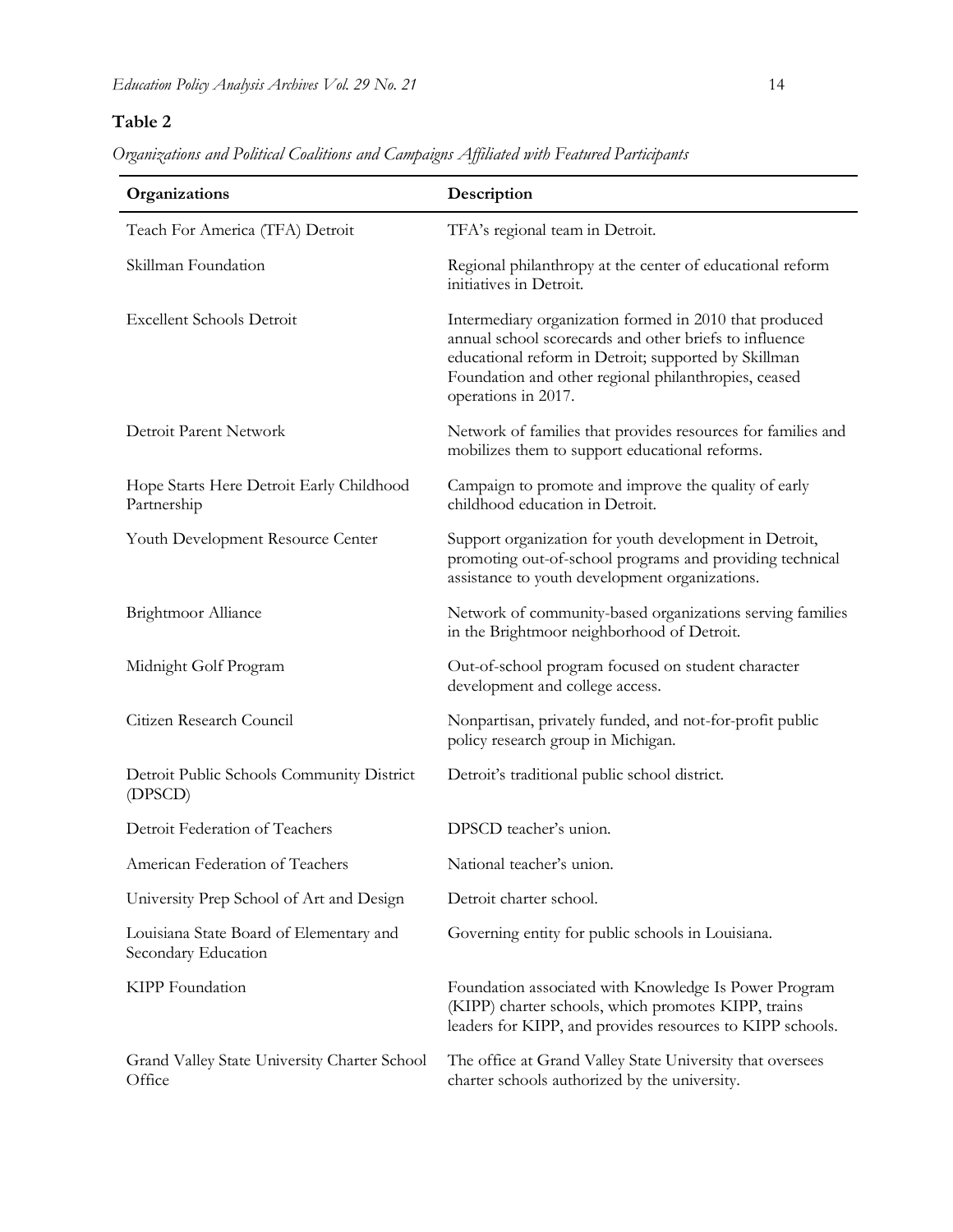# **Table 2**

*Organizations and Political Coalitions and Campaigns Affiliated with Featured Participants*

| Organizations                                                  | Description                                                                                                                                                                                                                                             |  |  |  |
|----------------------------------------------------------------|---------------------------------------------------------------------------------------------------------------------------------------------------------------------------------------------------------------------------------------------------------|--|--|--|
| Teach For America (TFA) Detroit                                | TFA's regional team in Detroit.                                                                                                                                                                                                                         |  |  |  |
| Skillman Foundation                                            | Regional philanthropy at the center of educational reform<br>initiatives in Detroit.                                                                                                                                                                    |  |  |  |
| <b>Excellent Schools Detroit</b>                               | Intermediary organization formed in 2010 that produced<br>annual school scorecards and other briefs to influence<br>educational reform in Detroit; supported by Skillman<br>Foundation and other regional philanthropies, ceased<br>operations in 2017. |  |  |  |
| Detroit Parent Network                                         | Network of families that provides resources for families and<br>mobilizes them to support educational reforms.                                                                                                                                          |  |  |  |
| Hope Starts Here Detroit Early Childhood<br>Partnership        | Campaign to promote and improve the quality of early<br>childhood education in Detroit.                                                                                                                                                                 |  |  |  |
| Youth Development Resource Center                              | Support organization for youth development in Detroit,<br>promoting out-of-school programs and providing technical<br>assistance to youth development organizations.                                                                                    |  |  |  |
| Brightmoor Alliance                                            | Network of community-based organizations serving families<br>in the Brightmoor neighborhood of Detroit.                                                                                                                                                 |  |  |  |
| Midnight Golf Program                                          | Out-of-school program focused on student character<br>development and college access.                                                                                                                                                                   |  |  |  |
| Citizen Research Council                                       | Nonpartisan, privately funded, and not-for-profit public<br>policy research group in Michigan.                                                                                                                                                          |  |  |  |
| Detroit Public Schools Community District<br>(DPSCD)           | Detroit's traditional public school district.                                                                                                                                                                                                           |  |  |  |
| Detroit Federation of Teachers                                 | DPSCD teacher's union.                                                                                                                                                                                                                                  |  |  |  |
| American Federation of Teachers                                | National teacher's union.                                                                                                                                                                                                                               |  |  |  |
| University Prep School of Art and Design                       | Detroit charter school.                                                                                                                                                                                                                                 |  |  |  |
| Louisiana State Board of Elementary and<br>Secondary Education | Governing entity for public schools in Louisiana.                                                                                                                                                                                                       |  |  |  |
| KIPP Foundation                                                | Foundation associated with Knowledge Is Power Program<br>(KIPP) charter schools, which promotes KIPP, trains<br>leaders for KIPP, and provides resources to KIPP schools.                                                                               |  |  |  |
| Grand Valley State University Charter School<br>Office         | The office at Grand Valley State University that oversees<br>charter schools authorized by the university.                                                                                                                                              |  |  |  |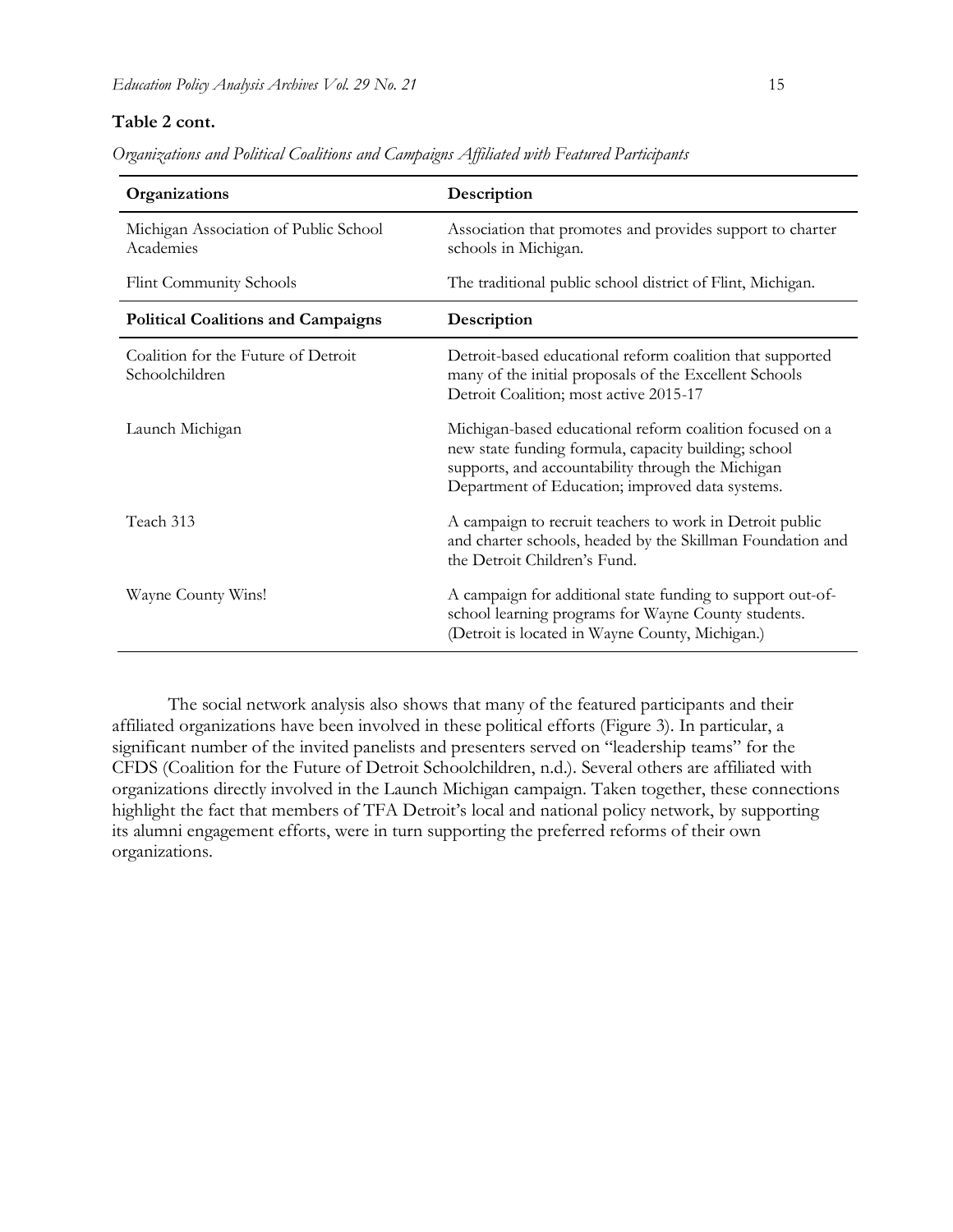### **Table 2 cont.**

| Organizations and Political Coalitions and Campaigns Affiliated with Featured Participants |  |  |  |  |
|--------------------------------------------------------------------------------------------|--|--|--|--|
|                                                                                            |  |  |  |  |

| Organizations                                         | Description                                                                                                                                                                                                              |
|-------------------------------------------------------|--------------------------------------------------------------------------------------------------------------------------------------------------------------------------------------------------------------------------|
| Michigan Association of Public School<br>Academies    | Association that promotes and provides support to charter<br>schools in Michigan.                                                                                                                                        |
| <b>Flint Community Schools</b>                        | The traditional public school district of Flint, Michigan.                                                                                                                                                               |
| <b>Political Coalitions and Campaigns</b>             | Description                                                                                                                                                                                                              |
| Coalition for the Future of Detroit<br>Schoolchildren | Detroit-based educational reform coalition that supported<br>many of the initial proposals of the Excellent Schools<br>Detroit Coalition; most active 2015-17                                                            |
| Launch Michigan                                       | Michigan-based educational reform coalition focused on a<br>new state funding formula, capacity building; school<br>supports, and accountability through the Michigan<br>Department of Education; improved data systems. |
| Teach 313                                             | A campaign to recruit teachers to work in Detroit public<br>and charter schools, headed by the Skillman Foundation and<br>the Detroit Children's Fund.                                                                   |
| Wayne County Wins!                                    | A campaign for additional state funding to support out-of-<br>school learning programs for Wayne County students.<br>(Detroit is located in Wayne County, Michigan.)                                                     |

The social network analysis also shows that many of the featured participants and their affiliated organizations have been involved in these political efforts (Figure 3). In particular, a significant number of the invited panelists and presenters served on "leadership teams" for the CFDS (Coalition for the Future of Detroit Schoolchildren, n.d.). Several others are affiliated with organizations directly involved in the Launch Michigan campaign. Taken together, these connections highlight the fact that members of TFA Detroit's local and national policy network, by supporting its alumni engagement efforts, were in turn supporting the preferred reforms of their own organizations.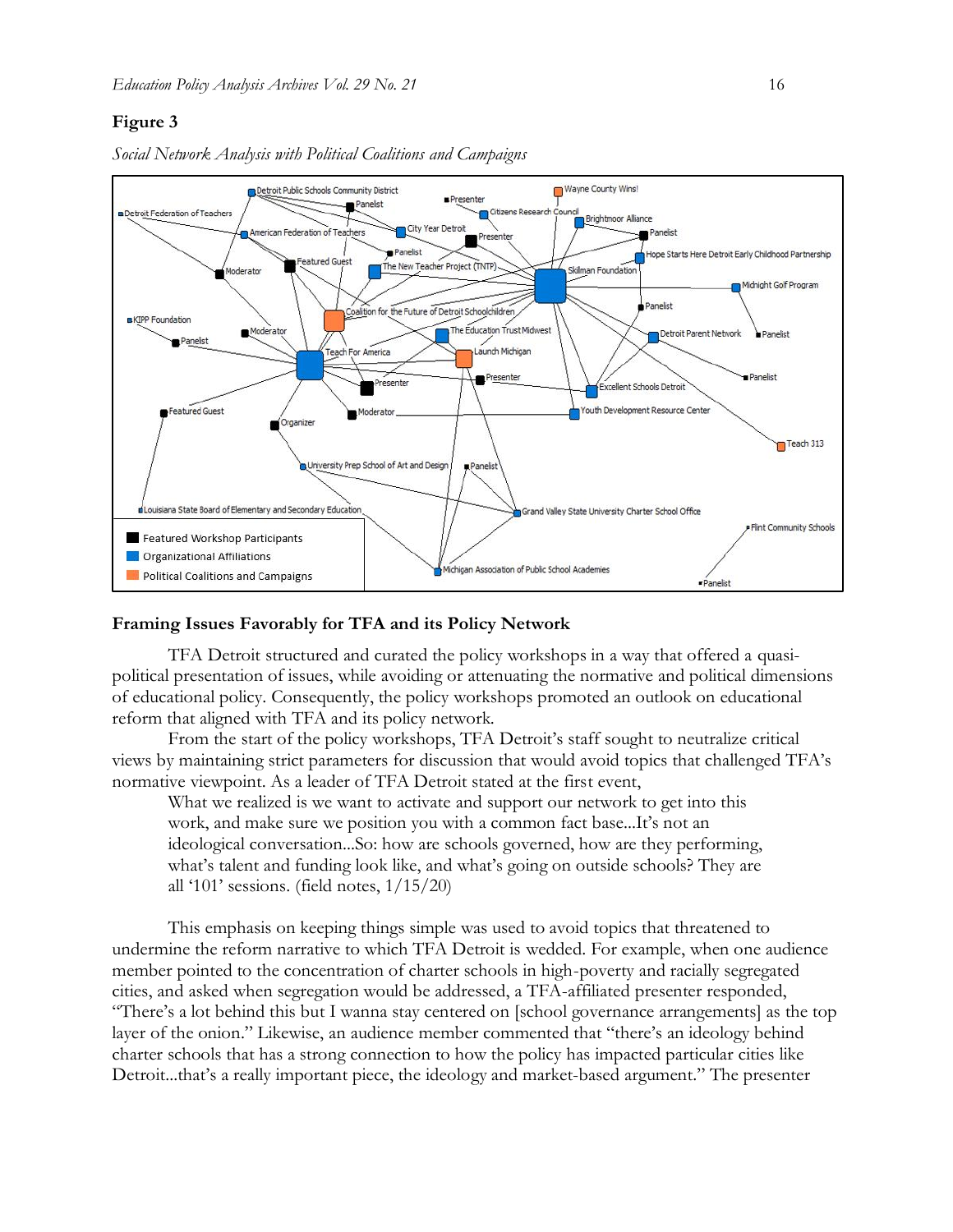### **Figure 3**



*Social Network Analysis with Political Coalitions and Campaigns*

### **Framing Issues Favorably for TFA and its Policy Network**

TFA Detroit structured and curated the policy workshops in a way that offered a quasipolitical presentation of issues, while avoiding or attenuating the normative and political dimensions of educational policy. Consequently, the policy workshops promoted an outlook on educational reform that aligned with TFA and its policy network.

From the start of the policy workshops, TFA Detroit's staff sought to neutralize critical views by maintaining strict parameters for discussion that would avoid topics that challenged TFA's normative viewpoint. As a leader of TFA Detroit stated at the first event,

What we realized is we want to activate and support our network to get into this work, and make sure we position you with a common fact base...It's not an ideological conversation...So: how are schools governed, how are they performing, what's talent and funding look like, and what's going on outside schools? They are all '101' sessions. (field notes, 1/15/20)

This emphasis on keeping things simple was used to avoid topics that threatened to undermine the reform narrative to which TFA Detroit is wedded. For example, when one audience member pointed to the concentration of charter schools in high-poverty and racially segregated cities, and asked when segregation would be addressed, a TFA-affiliated presenter responded, "There's a lot behind this but I wanna stay centered on [school governance arrangements] as the top layer of the onion." Likewise, an audience member commented that "there's an ideology behind charter schools that has a strong connection to how the policy has impacted particular cities like Detroit...that's a really important piece, the ideology and market-based argument." The presenter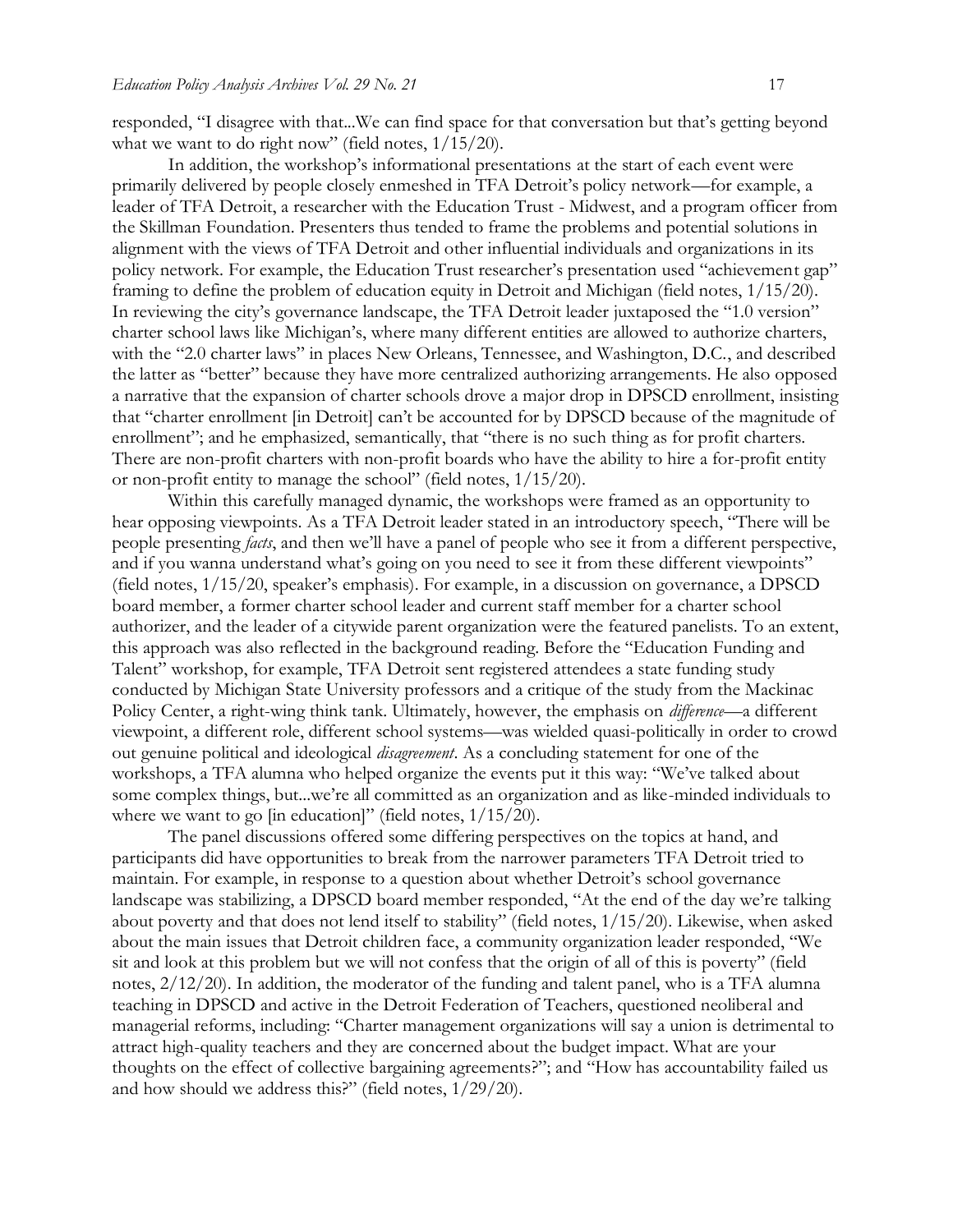responded, "I disagree with that...We can find space for that conversation but that's getting beyond what we want to do right now" (field notes,  $1/15/20$ ).

In addition, the workshop's informational presentations at the start of each event were primarily delivered by people closely enmeshed in TFA Detroit's policy network—for example, a leader of TFA Detroit, a researcher with the Education Trust - Midwest, and a program officer from the Skillman Foundation. Presenters thus tended to frame the problems and potential solutions in alignment with the views of TFA Detroit and other influential individuals and organizations in its policy network. For example, the Education Trust researcher's presentation used "achievement gap" framing to define the problem of education equity in Detroit and Michigan (field notes, 1/15/20). In reviewing the city's governance landscape, the TFA Detroit leader juxtaposed the "1.0 version" charter school laws like Michigan's, where many different entities are allowed to authorize charters, with the "2.0 charter laws" in places New Orleans, Tennessee, and Washington, D.C., and described the latter as "better" because they have more centralized authorizing arrangements. He also opposed a narrative that the expansion of charter schools drove a major drop in DPSCD enrollment, insisting that "charter enrollment [in Detroit] can't be accounted for by DPSCD because of the magnitude of enrollment"; and he emphasized, semantically, that "there is no such thing as for profit charters. There are non-profit charters with non-profit boards who have the ability to hire a for-profit entity or non-profit entity to manage the school" (field notes, 1/15/20).

Within this carefully managed dynamic, the workshops were framed as an opportunity to hear opposing viewpoints. As a TFA Detroit leader stated in an introductory speech, "There will be people presenting *facts*, and then we'll have a panel of people who see it from a different perspective, and if you wanna understand what's going on you need to see it from these different viewpoints" (field notes, 1/15/20, speaker's emphasis). For example, in a discussion on governance, a DPSCD board member, a former charter school leader and current staff member for a charter school authorizer, and the leader of a citywide parent organization were the featured panelists. To an extent, this approach was also reflected in the background reading. Before the "Education Funding and Talent" workshop, for example, TFA Detroit sent registered attendees a state funding study conducted by Michigan State University professors and a critique of the study from the Mackinac Policy Center, a right-wing think tank. Ultimately, however, the emphasis on *difference*—a different viewpoint, a different role, different school systems—was wielded quasi-politically in order to crowd out genuine political and ideological *disagreement*. As a concluding statement for one of the workshops, a TFA alumna who helped organize the events put it this way: "We've talked about some complex things, but...we're all committed as an organization and as like-minded individuals to where we want to go [in education]" (field notes,  $1/15/20$ ).

The panel discussions offered some differing perspectives on the topics at hand, and participants did have opportunities to break from the narrower parameters TFA Detroit tried to maintain. For example, in response to a question about whether Detroit's school governance landscape was stabilizing, a DPSCD board member responded, "At the end of the day we're talking about poverty and that does not lend itself to stability" (field notes, 1/15/20). Likewise, when asked about the main issues that Detroit children face, a community organization leader responded, "We sit and look at this problem but we will not confess that the origin of all of this is poverty" (field notes, 2/12/20). In addition, the moderator of the funding and talent panel, who is a TFA alumna teaching in DPSCD and active in the Detroit Federation of Teachers, questioned neoliberal and managerial reforms, including: "Charter management organizations will say a union is detrimental to attract high-quality teachers and they are concerned about the budget impact. What are your thoughts on the effect of collective bargaining agreements?"; and "How has accountability failed us and how should we address this?" (field notes, 1/29/20).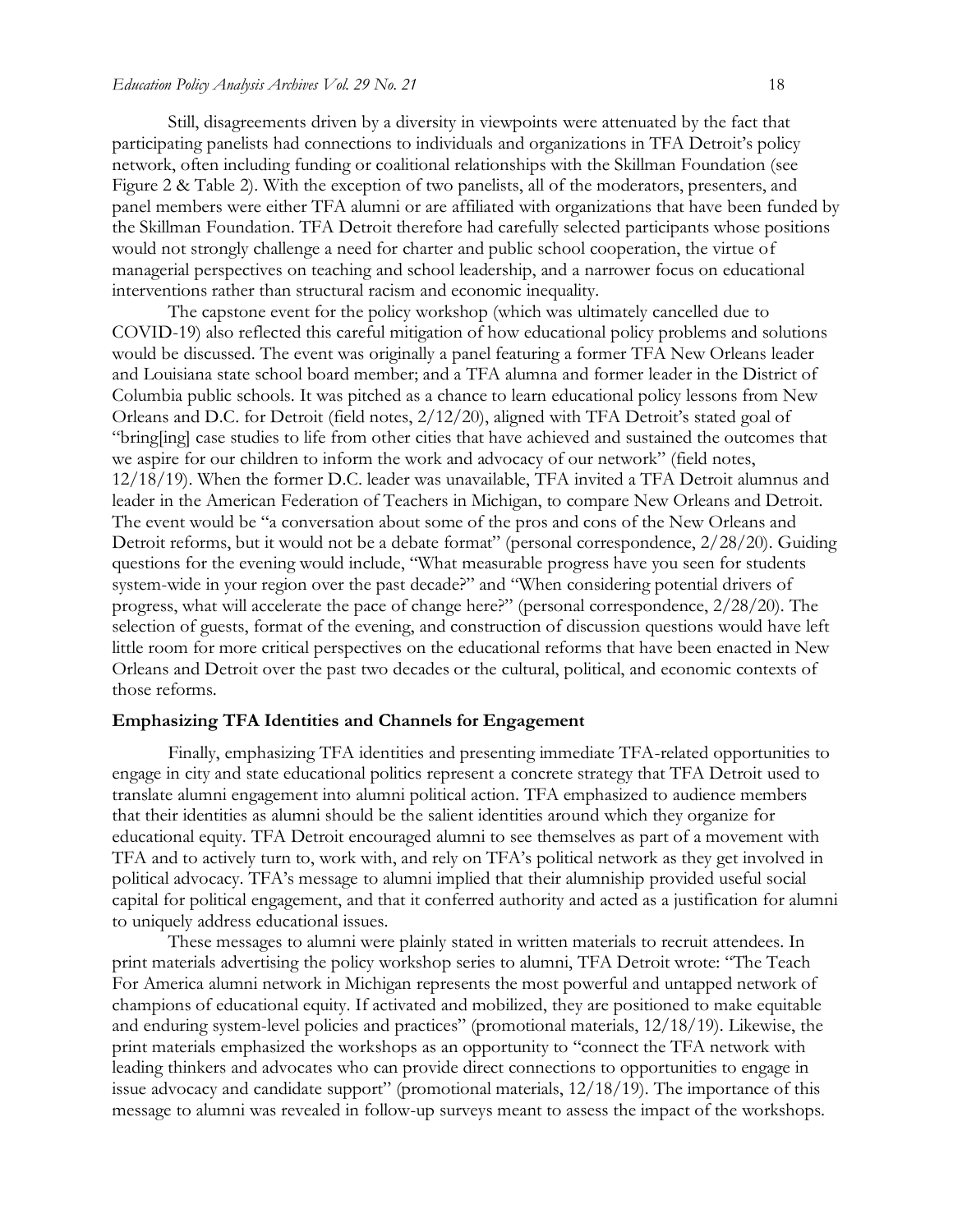Still, disagreements driven by a diversity in viewpoints were attenuated by the fact that participating panelists had connections to individuals and organizations in TFA Detroit's policy network, often including funding or coalitional relationships with the Skillman Foundation (see Figure 2 & Table 2). With the exception of two panelists, all of the moderators, presenters, and panel members were either TFA alumni or are affiliated with organizations that have been funded by the Skillman Foundation. TFA Detroit therefore had carefully selected participants whose positions would not strongly challenge a need for charter and public school cooperation, the virtue of managerial perspectives on teaching and school leadership, and a narrower focus on educational interventions rather than structural racism and economic inequality.

The capstone event for the policy workshop (which was ultimately cancelled due to COVID-19) also reflected this careful mitigation of how educational policy problems and solutions would be discussed. The event was originally a panel featuring a former TFA New Orleans leader and Louisiana state school board member; and a TFA alumna and former leader in the District of Columbia public schools. It was pitched as a chance to learn educational policy lessons from New Orleans and D.C. for Detroit (field notes, 2/12/20), aligned with TFA Detroit's stated goal of "bring[ing] case studies to life from other cities that have achieved and sustained the outcomes that we aspire for our children to inform the work and advocacy of our network" (field notes, 12/18/19). When the former D.C. leader was unavailable, TFA invited a TFA Detroit alumnus and leader in the American Federation of Teachers in Michigan, to compare New Orleans and Detroit. The event would be "a conversation about some of the pros and cons of the New Orleans and Detroit reforms, but it would not be a debate format" (personal correspondence, 2/28/20). Guiding questions for the evening would include, "What measurable progress have you seen for students system-wide in your region over the past decade?" and "When considering potential drivers of progress, what will accelerate the pace of change here?" (personal correspondence, 2/28/20). The selection of guests, format of the evening, and construction of discussion questions would have left little room for more critical perspectives on the educational reforms that have been enacted in New Orleans and Detroit over the past two decades or the cultural, political, and economic contexts of those reforms.

#### **Emphasizing TFA Identities and Channels for Engagement**

Finally, emphasizing TFA identities and presenting immediate TFA-related opportunities to engage in city and state educational politics represent a concrete strategy that TFA Detroit used to translate alumni engagement into alumni political action. TFA emphasized to audience members that their identities as alumni should be the salient identities around which they organize for educational equity. TFA Detroit encouraged alumni to see themselves as part of a movement with TFA and to actively turn to, work with, and rely on TFA's political network as they get involved in political advocacy. TFA's message to alumni implied that their alumniship provided useful social capital for political engagement, and that it conferred authority and acted as a justification for alumni to uniquely address educational issues.

These messages to alumni were plainly stated in written materials to recruit attendees. In print materials advertising the policy workshop series to alumni, TFA Detroit wrote: "The Teach For America alumni network in Michigan represents the most powerful and untapped network of champions of educational equity. If activated and mobilized, they are positioned to make equitable and enduring system-level policies and practices" (promotional materials, 12/18/19). Likewise, the print materials emphasized the workshops as an opportunity to "connect the TFA network with leading thinkers and advocates who can provide direct connections to opportunities to engage in issue advocacy and candidate support" (promotional materials, 12/18/19). The importance of this message to alumni was revealed in follow-up surveys meant to assess the impact of the workshops.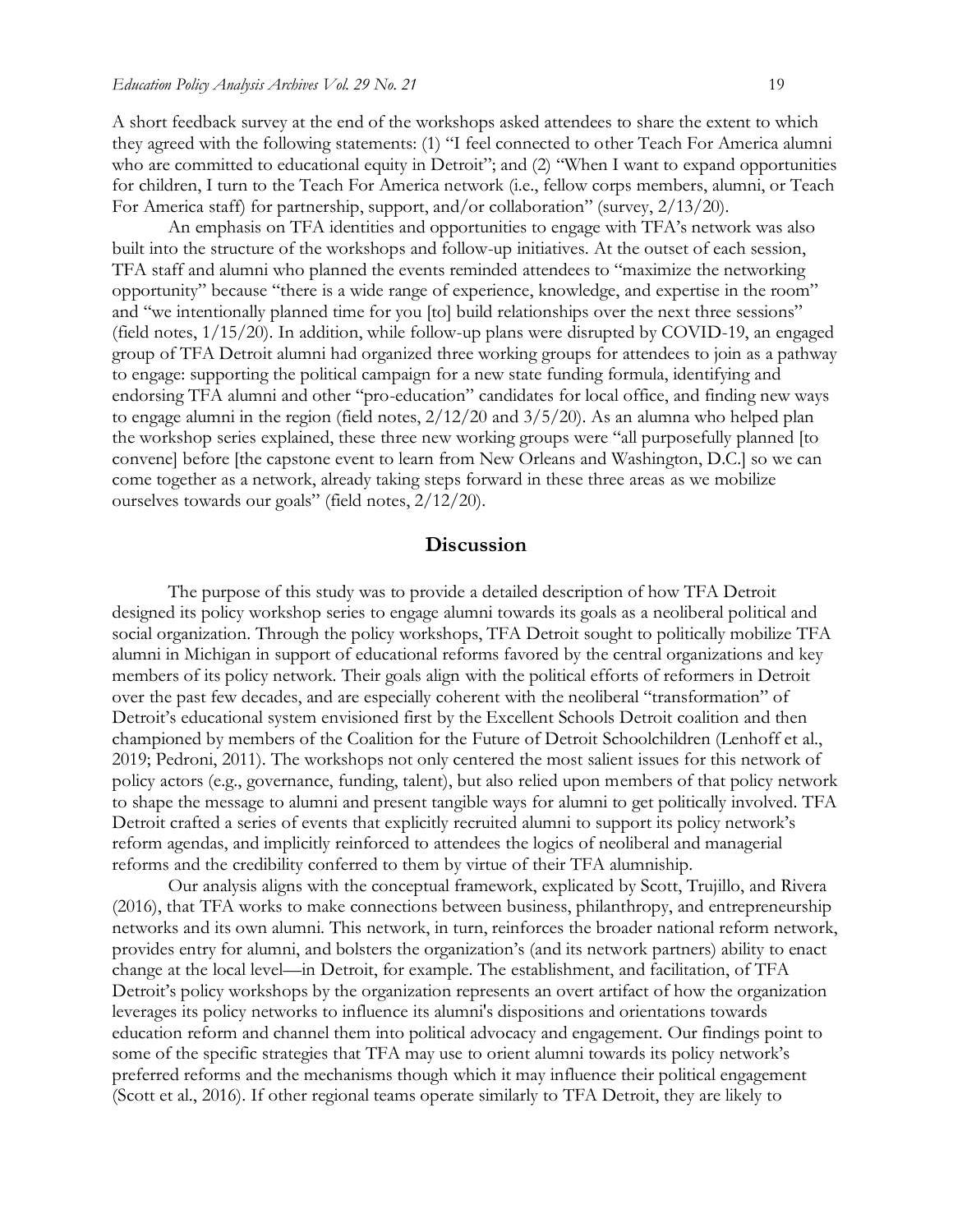A short feedback survey at the end of the workshops asked attendees to share the extent to which they agreed with the following statements: (1) "I feel connected to other Teach For America alumni who are committed to educational equity in Detroit"; and (2) "When I want to expand opportunities for children, I turn to the Teach For America network (i.e., fellow corps members, alumni, or Teach For America staff) for partnership, support, and/or collaboration" (survey, 2/13/20).

An emphasis on TFA identities and opportunities to engage with TFA's network was also built into the structure of the workshops and follow-up initiatives. At the outset of each session, TFA staff and alumni who planned the events reminded attendees to "maximize the networking opportunity" because "there is a wide range of experience, knowledge, and expertise in the room" and "we intentionally planned time for you [to] build relationships over the next three sessions" (field notes, 1/15/20). In addition, while follow-up plans were disrupted by COVID-19, an engaged group of TFA Detroit alumni had organized three working groups for attendees to join as a pathway to engage: supporting the political campaign for a new state funding formula, identifying and endorsing TFA alumni and other "pro-education" candidates for local office, and finding new ways to engage alumni in the region (field notes, 2/12/20 and 3/5/20). As an alumna who helped plan the workshop series explained, these three new working groups were "all purposefully planned [to convene] before [the capstone event to learn from New Orleans and Washington, D.C.] so we can come together as a network, already taking steps forward in these three areas as we mobilize ourselves towards our goals" (field notes, 2/12/20).

### **Discussion**

The purpose of this study was to provide a detailed description of how TFA Detroit designed its policy workshop series to engage alumni towards its goals as a neoliberal political and social organization. Through the policy workshops, TFA Detroit sought to politically mobilize TFA alumni in Michigan in support of educational reforms favored by the central organizations and key members of its policy network. Their goals align with the political efforts of reformers in Detroit over the past few decades, and are especially coherent with the neoliberal "transformation" of Detroit's educational system envisioned first by the Excellent Schools Detroit coalition and then championed by members of the Coalition for the Future of Detroit Schoolchildren (Lenhoff et al., 2019; Pedroni, 2011). The workshops not only centered the most salient issues for this network of policy actors (e.g., governance, funding, talent), but also relied upon members of that policy network to shape the message to alumni and present tangible ways for alumni to get politically involved. TFA Detroit crafted a series of events that explicitly recruited alumni to support its policy network's reform agendas, and implicitly reinforced to attendees the logics of neoliberal and managerial reforms and the credibility conferred to them by virtue of their TFA alumniship.

Our analysis aligns with the conceptual framework, explicated by Scott, Trujillo, and Rivera (2016), that TFA works to make connections between business, philanthropy, and entrepreneurship networks and its own alumni. This network, in turn, reinforces the broader national reform network, provides entry for alumni, and bolsters the organization's (and its network partners) ability to enact change at the local level—in Detroit, for example. The establishment, and facilitation, of TFA Detroit's policy workshops by the organization represents an overt artifact of how the organization leverages its policy networks to influence its alumni's dispositions and orientations towards education reform and channel them into political advocacy and engagement. Our findings point to some of the specific strategies that TFA may use to orient alumni towards its policy network's preferred reforms and the mechanisms though which it may influence their political engagement (Scott et al., 2016). If other regional teams operate similarly to TFA Detroit, they are likely to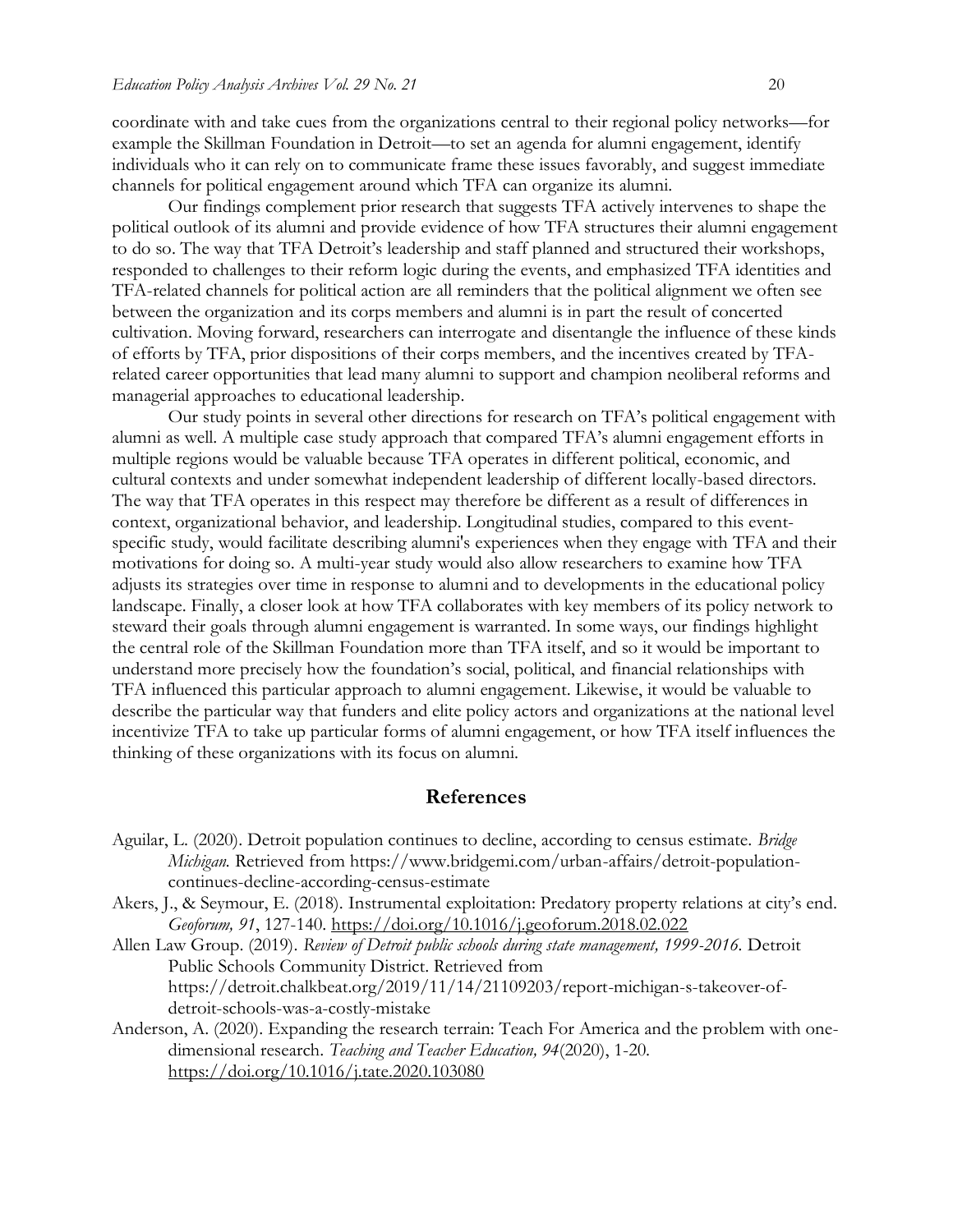coordinate with and take cues from the organizations central to their regional policy networks—for example the Skillman Foundation in Detroit—to set an agenda for alumni engagement, identify individuals who it can rely on to communicate frame these issues favorably, and suggest immediate channels for political engagement around which TFA can organize its alumni.

Our findings complement prior research that suggests TFA actively intervenes to shape the political outlook of its alumni and provide evidence of how TFA structures their alumni engagement to do so. The way that TFA Detroit's leadership and staff planned and structured their workshops, responded to challenges to their reform logic during the events, and emphasized TFA identities and TFA-related channels for political action are all reminders that the political alignment we often see between the organization and its corps members and alumni is in part the result of concerted cultivation. Moving forward, researchers can interrogate and disentangle the influence of these kinds of efforts by TFA, prior dispositions of their corps members, and the incentives created by TFArelated career opportunities that lead many alumni to support and champion neoliberal reforms and managerial approaches to educational leadership.

Our study points in several other directions for research on TFA's political engagement with alumni as well. A multiple case study approach that compared TFA's alumni engagement efforts in multiple regions would be valuable because TFA operates in different political, economic, and cultural contexts and under somewhat independent leadership of different locally-based directors. The way that TFA operates in this respect may therefore be different as a result of differences in context, organizational behavior, and leadership. Longitudinal studies, compared to this eventspecific study, would facilitate describing alumni's experiences when they engage with TFA and their motivations for doing so. A multi-year study would also allow researchers to examine how TFA adjusts its strategies over time in response to alumni and to developments in the educational policy landscape. Finally, a closer look at how TFA collaborates with key members of its policy network to steward their goals through alumni engagement is warranted. In some ways, our findings highlight the central role of the Skillman Foundation more than TFA itself, and so it would be important to understand more precisely how the foundation's social, political, and financial relationships with TFA influenced this particular approach to alumni engagement. Likewise, it would be valuable to describe the particular way that funders and elite policy actors and organizations at the national level incentivize TFA to take up particular forms of alumni engagement, or how TFA itself influences the thinking of these organizations with its focus on alumni.

### **References**

- Aguilar, L. (2020). Detroit population continues to decline, according to census estimate. *Bridge Michigan.* Retrieved from https://www.bridgemi.com/urban-affairs/detroit-populationcontinues-decline-according-census-estimate
- Akers, J., & Seymour, E. (2018). Instrumental exploitation: Predatory property relations at city's end. *Geoforum, 91*, 127-140.<https://doi.org/10.1016/j.geoforum.2018.02.022>

Allen Law Group. (2019). *Review of Detroit public schools during state management, 1999-2016.* Detroit Public Schools Community District. Retrieved from https://detroit.chalkbeat.org/2019/11/14/21109203/report-michigan-s-takeover-ofdetroit-schools-was-a-costly-mistake

Anderson, A. (2020). Expanding the research terrain: Teach For America and the problem with onedimensional research. *Teaching and Teacher Education, 94*(2020), 1-20. <https://doi.org/10.1016/j.tate.2020.103080>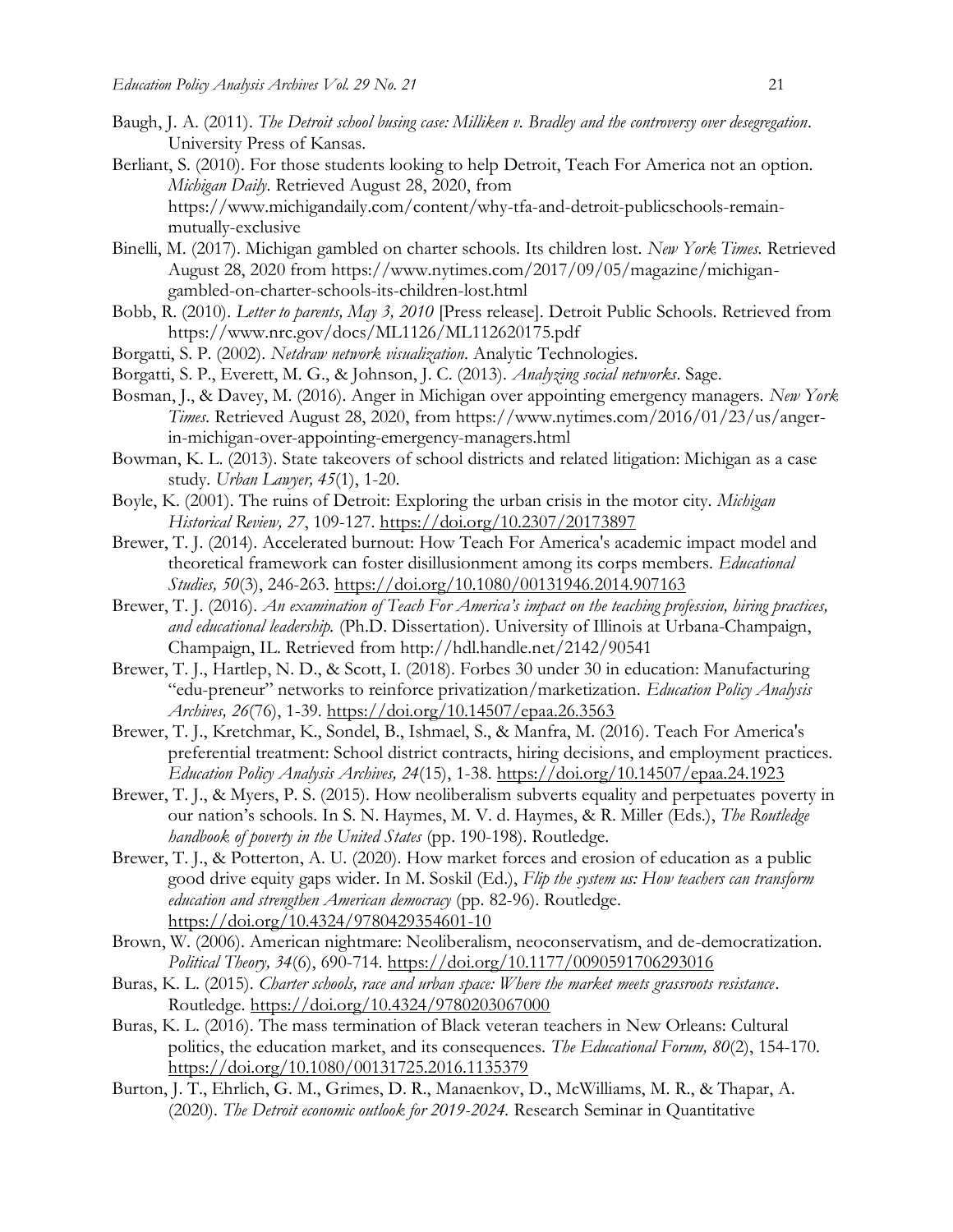- Baugh, J. A. (2011). *The Detroit school busing case: Milliken v. Bradley and the controversy over desegregation*. University Press of Kansas.
- Berliant, S. (2010). For those students looking to help Detroit, Teach For America not an option. *Michigan Daily*. Retrieved August 28, 2020, from https://www.michigandaily.com/content/why-tfa-and-detroit-publicschools-remainmutually-exclusive
- Binelli, M. (2017). Michigan gambled on charter schools. Its children lost. *New York Times.* Retrieved August 28, 2020 from https://www.nytimes.com/2017/09/05/magazine/michigangambled-on-charter-schools-its-children-lost.html
- Bobb, R. (2010). *Letter to parents, May 3, 2010* [Press release]. Detroit Public Schools. Retrieved from https://www.nrc.gov/docs/ML1126/ML112620175.pdf
- Borgatti, S. P. (2002). *Netdraw network visualization*. Analytic Technologies.
- Borgatti, S. P., Everett, M. G., & Johnson, J. C. (2013). *Analyzing social networks*. Sage.
- Bosman, J., & Davey, M. (2016). Anger in Michigan over appointing emergency managers. *New York Times.* Retrieved August 28, 2020, from https://www.nytimes.com/2016/01/23/us/angerin-michigan-over-appointing-emergency-managers.html
- Bowman, K. L. (2013). State takeovers of school districts and related litigation: Michigan as a case study. *Urban Lawyer, 45*(1), 1-20.
- Boyle, K. (2001). The ruins of Detroit: Exploring the urban crisis in the motor city. *Michigan Historical Review, 27*, 109-127. <https://doi.org/10.2307/20173897>
- Brewer, T. J. (2014). Accelerated burnout: How Teach For America's academic impact model and theoretical framework can foster disillusionment among its corps members. *Educational Studies, 50*(3), 246-263.<https://doi.org/10.1080/00131946.2014.907163>
- Brewer, T. J. (2016). *An examination of Teach For America's impact on the teaching profession, hiring practices, and educational leadership.* (Ph.D. Dissertation). University of Illinois at Urbana-Champaign, Champaign, IL. Retrieved from http://hdl.handle.net/2142/90541
- Brewer, T. J., Hartlep, N. D., & Scott, I. (2018). Forbes 30 under 30 in education: Manufacturing "edu-preneur" networks to reinforce privatization/marketization. *Education Policy Analysis Archives, 26*(76), 1-39.<https://doi.org/10.14507/epaa.26.3563>
- Brewer, T. J., Kretchmar, K., Sondel, B., Ishmael, S., & Manfra, M. (2016). Teach For America's preferential treatment: School district contracts, hiring decisions, and employment practices. *Education Policy Analysis Archives, 24*(15), 1-38.<https://doi.org/10.14507/epaa.24.1923>
- Brewer, T. J., & Myers, P. S. (2015). How neoliberalism subverts equality and perpetuates poverty in our nation's schools. In S. N. Haymes, M. V. d. Haymes, & R. Miller (Eds.), *The Routledge handbook of poverty in the United States* (pp. 190-198). Routledge.
- Brewer, T. J., & Potterton, A. U. (2020). How market forces and erosion of education as a public good drive equity gaps wider. In M. Soskil (Ed.), *Flip the system us: How teachers can transform education and strengthen American democracy* (pp. 82-96). Routledge. <https://doi.org/10.4324/9780429354601-10>
- Brown, W. (2006). American nightmare: Neoliberalism, neoconservatism, and de-democratization. *Political Theory, 34*(6), 690-714.<https://doi.org/10.1177/0090591706293016>
- Buras, K. L. (2015). *Charter schools, race and urban space: Where the market meets grassroots resistance*. Routledge. <https://doi.org/10.4324/9780203067000>
- Buras, K. L. (2016). The mass termination of Black veteran teachers in New Orleans: Cultural politics, the education market, and its consequences. *The Educational Forum, 80*(2), 154-170. <https://doi.org/10.1080/00131725.2016.1135379>
- Burton, J. T., Ehrlich, G. M., Grimes, D. R., Manaenkov, D., McWilliams, M. R., & Thapar, A. (2020). *The Detroit economic outlook for 2019-2024.* Research Seminar in Quantitative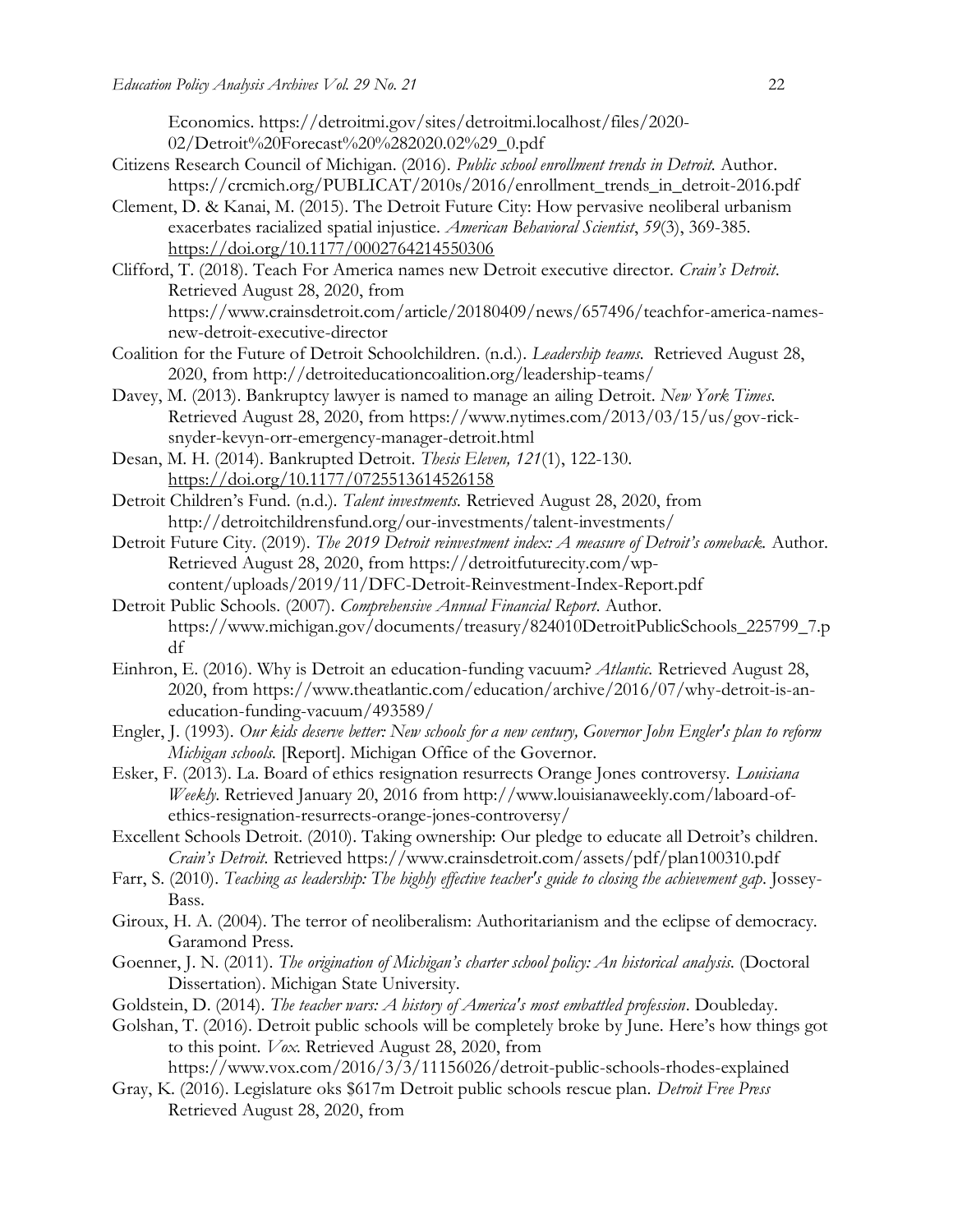Economics. https://detroitmi.gov/sites/detroitmi.localhost/files/2020- 02/Detroit%20Forecast%20%282020.02%29\_0.pdf

- Citizens Research Council of Michigan. (2016). *Public school enrollment trends in Detroit.* Author. https://crcmich.org/PUBLICAT/2010s/2016/enrollment\_trends\_in\_detroit-2016.pdf
- Clement, D. & Kanai, M. (2015). The Detroit Future City: How pervasive neoliberal urbanism exacerbates racialized spatial injustice. *American Behavioral Scientist*, *59*(3), 369-385. <https://doi.org/10.1177/0002764214550306>
- Clifford, T. (2018). Teach For America names new Detroit executive director. *Crain's Detroit*. Retrieved August 28, 2020, from https://www.crainsdetroit.com/article/20180409/news/657496/teachfor-america-namesnew-detroit-executive-director
- Coalition for the Future of Detroit Schoolchildren. (n.d.). *Leadership teams.* Retrieved August 28, 2020, from http://detroiteducationcoalition.org/leadership-teams/
- Davey, M. (2013). Bankruptcy lawyer is named to manage an ailing Detroit. *New York Times.* Retrieved August 28, 2020, from https://www.nytimes.com/2013/03/15/us/gov-ricksnyder-kevyn-orr-emergency-manager-detroit.html
- Desan, M. H. (2014). Bankrupted Detroit. *Thesis Eleven, 121*(1), 122-130. <https://doi.org/10.1177/0725513614526158>
- Detroit Children's Fund. (n.d.). *Talent investments.* Retrieved August 28, 2020, from http://detroitchildrensfund.org/our-investments/talent-investments/
- Detroit Future City. (2019). *The 2019 Detroit reinvestment index: A measure of Detroit's comeback.* Author. Retrieved August 28, 2020, from https://detroitfuturecity.com/wpcontent/uploads/2019/11/DFC-Detroit-Reinvestment-Index-Report.pdf
- Detroit Public Schools. (2007). *Comprehensive Annual Financial Report*. Author. https://www.michigan.gov/documents/treasury/824010DetroitPublicSchools\_225799\_7.p df
- Einhron, E. (2016). Why is Detroit an education-funding vacuum? *Atlantic.* Retrieved August 28, 2020, from https://www.theatlantic.com/education/archive/2016/07/why-detroit-is-aneducation-funding-vacuum/493589/
- Engler, J. (1993). *Our kids deserve better: New schools for a new century, Governor John Engler's plan to reform Michigan schools.* [Report]. Michigan Office of the Governor.
- Esker, F. (2013). La. Board of ethics resignation resurrects Orange Jones controversy. *Louisiana Weekly.* Retrieved January 20, 2016 from http://www.louisianaweekly.com/laboard-ofethics-resignation-resurrects-orange-jones-controversy/
- Excellent Schools Detroit. (2010). Taking ownership: Our pledge to educate all Detroit's children. *Crain's Detroit.* Retrieved https://www.crainsdetroit.com/assets/pdf/plan100310.pdf
- Farr, S. (2010). *Teaching as leadership: The highly effective teacher's guide to closing the achievement gap*. Jossey-Bass.
- Giroux, H. A. (2004). The terror of neoliberalism: Authoritarianism and the eclipse of democracy. Garamond Press.
- Goenner, J. N. (2011). *The origination of Michigan's charter school policy: An historical analysis*. (Doctoral Dissertation). Michigan State University.
- Goldstein, D. (2014). *The teacher wars: A history of America's most embattled profession*. Doubleday.
- Golshan, T. (2016). Detroit public schools will be completely broke by June. Here's how things got to this point. *Vox.* Retrieved August 28, 2020, from

https://www.vox.com/2016/3/3/11156026/detroit-public-schools-rhodes-explained

Gray, K. (2016). Legislature oks \$617m Detroit public schools rescue plan. *Detroit Free Press* Retrieved August 28, 2020, from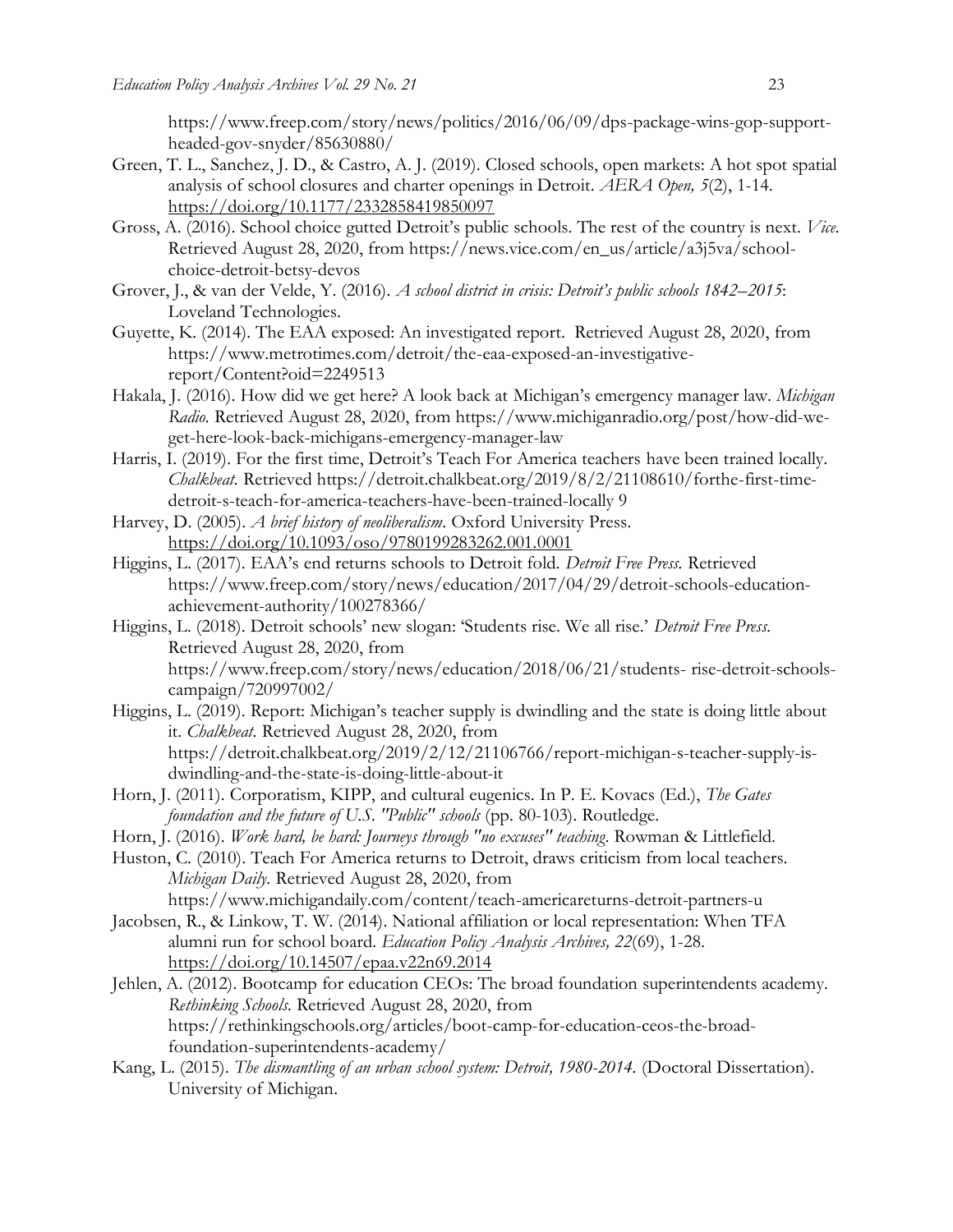https://www.freep.com/story/news/politics/2016/06/09/dps-package-wins-gop-supportheaded-gov-snyder/85630880/

- Green, T. L., Sanchez, J. D., & Castro, A. J. (2019). Closed schools, open markets: A hot spot spatial analysis of school closures and charter openings in Detroit. *AERA Open, 5*(2), 1-14. <https://doi.org/10.1177/2332858419850097>
- Gross, A. (2016). School choice gutted Detroit's public schools. The rest of the country is next. *Vice.* Retrieved August 28, 2020, from https://news.vice.com/en\_us/article/a3j5va/schoolchoice-detroit-betsy-devos
- Grover, J., & van der Velde, Y. (2016). *A school district in crisis: Detroit's public schools 1842–2015*: Loveland Technologies.
- Guyette, K. (2014). The EAA exposed: An investigated report. Retrieved August 28, 2020, from https://www.metrotimes.com/detroit/the-eaa-exposed-an-investigativereport/Content?oid=2249513
- Hakala, J. (2016). How did we get here? A look back at Michigan's emergency manager law. *Michigan Radio.* Retrieved August 28, 2020, from https://www.michiganradio.org/post/how-did-weget-here-look-back-michigans-emergency-manager-law
- Harris, I. (2019). For the first time, Detroit's Teach For America teachers have been trained locally. *Chalkbeat.* Retrieved https://detroit.chalkbeat.org/2019/8/2/21108610/forthe-first-timedetroit-s-teach-for-america-teachers-have-been-trained-locally 9
- Harvey, D. (2005). *A brief history of neoliberalism*. Oxford University Press. <https://doi.org/10.1093/oso/9780199283262.001.0001>
- Higgins, L. (2017). EAA's end returns schools to Detroit fold. *Detroit Free Press.* Retrieved https://www.freep.com/story/news/education/2017/04/29/detroit-schools-educationachievement-authority/100278366/
- Higgins, L. (2018). Detroit schools' new slogan: 'Students rise. We all rise.' *Detroit Free Press.* Retrieved August 28, 2020, from https://www.freep.com/story/news/education/2018/06/21/students- rise-detroit-schoolscampaign/720997002/
- Higgins, L. (2019). Report: Michigan's teacher supply is dwindling and the state is doing little about it. *Chalkbeat.* Retrieved August 28, 2020, from https://detroit.chalkbeat.org/2019/2/12/21106766/report-michigan-s-teacher-supply-isdwindling-and-the-state-is-doing-little-about-it
- Horn, J. (2011). Corporatism, KIPP, and cultural eugenics. In P. E. Kovacs (Ed.), *The Gates foundation and the future of U.S. "Public" schools* (pp. 80-103). Routledge.
- Horn, J. (2016). *Work hard, be hard: Journeys through "no excuses" teaching*. Rowman & Littlefield.
- Huston, C. (2010). Teach For America returns to Detroit, draws criticism from local teachers. *Michigan Daily.* Retrieved August 28, 2020, from https://www.michigandaily.com/content/teach-americareturns-detroit-partners-u
- Jacobsen, R., & Linkow, T. W. (2014). National affiliation or local representation: When TFA alumni run for school board. *Education Policy Analysis Archives, 22*(69), 1-28. <https://doi.org/10.14507/epaa.v22n69.2014>
- Jehlen, A. (2012). Bootcamp for education CEOs: The broad foundation superintendents academy. *Rethinking Schools.* Retrieved August 28, 2020, from https://rethinkingschools.org/articles/boot-camp-for-education-ceos-the-broadfoundation-superintendents-academy/
- Kang, L. (2015). *The dismantling of an urban school system: Detroit, 1980-2014.* (Doctoral Dissertation). University of Michigan.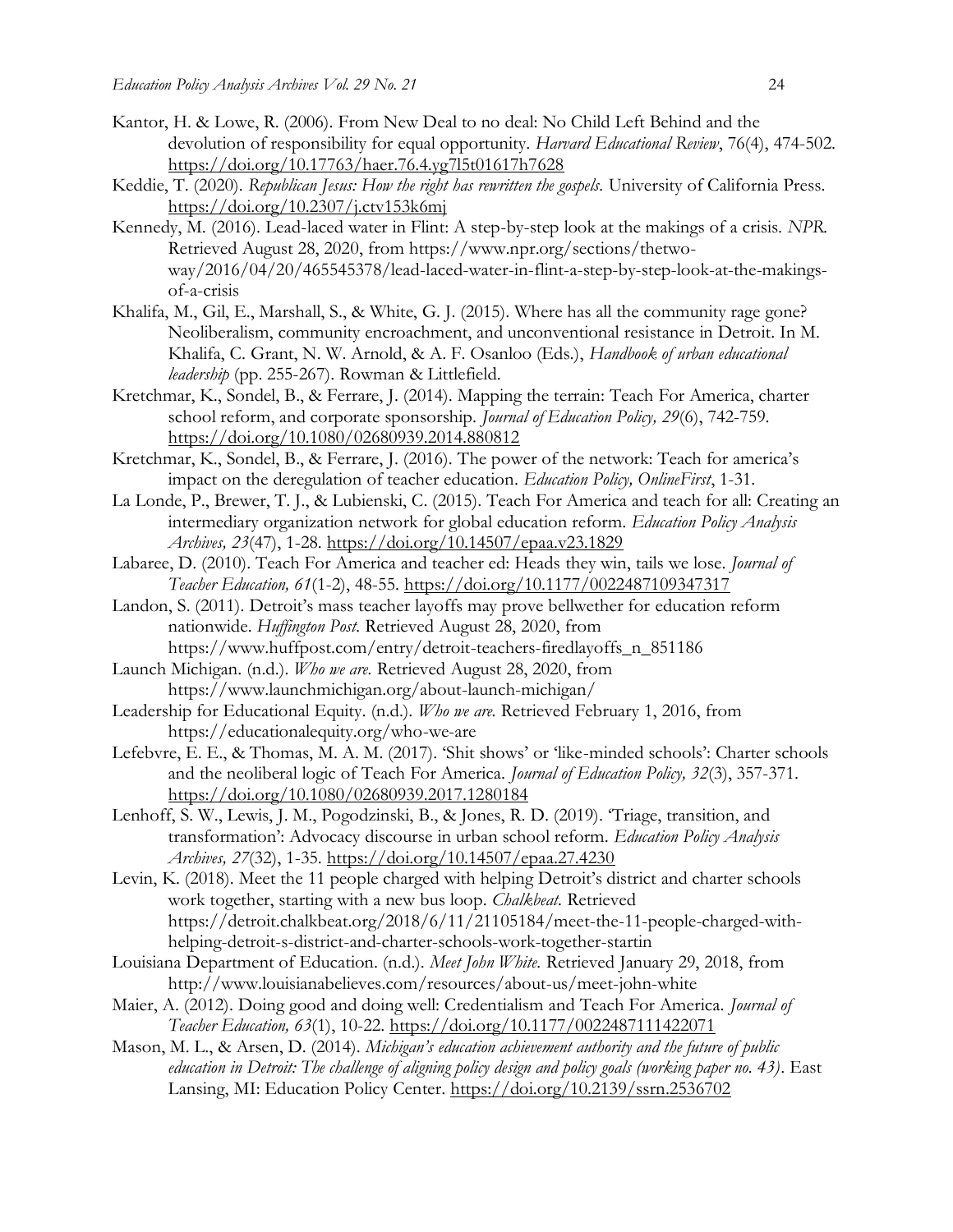- Kantor, H. & Lowe, R. (2006). From New Deal to no deal: No Child Left Behind and the devolution of responsibility for equal opportunity. *Harvard Educational Review*, 76(4), 474-502. <https://doi.org/10.17763/haer.76.4.yg7l5t01617h7628>
- Keddie, T. (2020). *Republican Jesus: How the right has rewritten the gospels.* University of California Press. <https://doi.org/10.2307/j.ctv153k6mj>
- Kennedy, M. (2016). Lead-laced water in Flint: A step-by-step look at the makings of a crisis. *NPR.*  Retrieved August 28, 2020, from https://www.npr.org/sections/thetwoway/2016/04/20/465545378/lead-laced-water-in-flint-a-step-by-step-look-at-the-makingsof-a-crisis
- Khalifa, M., Gil, E., Marshall, S., & White, G. J. (2015). Where has all the community rage gone? Neoliberalism, community encroachment, and unconventional resistance in Detroit. In M. Khalifa, C. Grant, N. W. Arnold, & A. F. Osanloo (Eds.), *Handbook of urban educational leadership* (pp. 255-267). Rowman & Littlefield.
- Kretchmar, K., Sondel, B., & Ferrare, J. (2014). Mapping the terrain: Teach For America, charter school reform, and corporate sponsorship. *Journal of Education Policy, 29*(6), 742-759. <https://doi.org/10.1080/02680939.2014.880812>
- Kretchmar, K., Sondel, B., & Ferrare, J. (2016). The power of the network: Teach for america's impact on the deregulation of teacher education. *Education Policy, OnlineFirst*, 1-31.
- La Londe, P., Brewer, T. J., & Lubienski, C. (2015). Teach For America and teach for all: Creating an intermediary organization network for global education reform. *Education Policy Analysis Archives, 23*(47), 1-28.<https://doi.org/10.14507/epaa.v23.1829>
- Labaree, D. (2010). Teach For America and teacher ed: Heads they win, tails we lose. *Journal of Teacher Education, 61*(1-2), 48-55.<https://doi.org/10.1177/0022487109347317>
- Landon, S. (2011). Detroit's mass teacher layoffs may prove bellwether for education reform nationwide. *Huffington Post.* Retrieved August 28, 2020, from https://www.huffpost.com/entry/detroit-teachers-firedlayoffs\_n\_851186
- Launch Michigan. (n.d.). *Who we are.* Retrieved August 28, 2020, from https://www.launchmichigan.org/about-launch-michigan/
- Leadership for Educational Equity. (n.d.). *Who we are.* Retrieved February 1, 2016, from https://educationalequity.org/who-we-are
- Lefebvre, E. E., & Thomas, M. A. M. (2017). 'Shit shows' or 'like-minded schools': Charter schools and the neoliberal logic of Teach For America. *Journal of Education Policy, 32*(3), 357-371. <https://doi.org/10.1080/02680939.2017.1280184>
- Lenhoff, S. W., Lewis, J. M., Pogodzinski, B., & Jones, R. D. (2019). 'Triage, transition, and transformation': Advocacy discourse in urban school reform. *Education Policy Analysis Archives, 27*(32), 1-35.<https://doi.org/10.14507/epaa.27.4230>
- Levin, K. (2018). Meet the 11 people charged with helping Detroit's district and charter schools work together, starting with a new bus loop. *Chalkbeat.* Retrieved https://detroit.chalkbeat.org/2018/6/11/21105184/meet-the-11-people-charged-withhelping-detroit-s-district-and-charter-schools-work-together-startin
- Louisiana Department of Education. (n.d.). *Meet John White.* Retrieved January 29, 2018, from http://www.louisianabelieves.com/resources/about-us/meet-john-white
- Maier, A. (2012). Doing good and doing well: Credentialism and Teach For America. *Journal of Teacher Education, 63*(1), 10-22.<https://doi.org/10.1177/0022487111422071>
- Mason, M. L., & Arsen, D. (2014). *Michigan's education achievement authority and the future of public education in Detroit: The challenge of aligning policy design and policy goals (working paper no. 43)*. East Lansing, MI: Education Policy Center.<https://doi.org/10.2139/ssrn.2536702>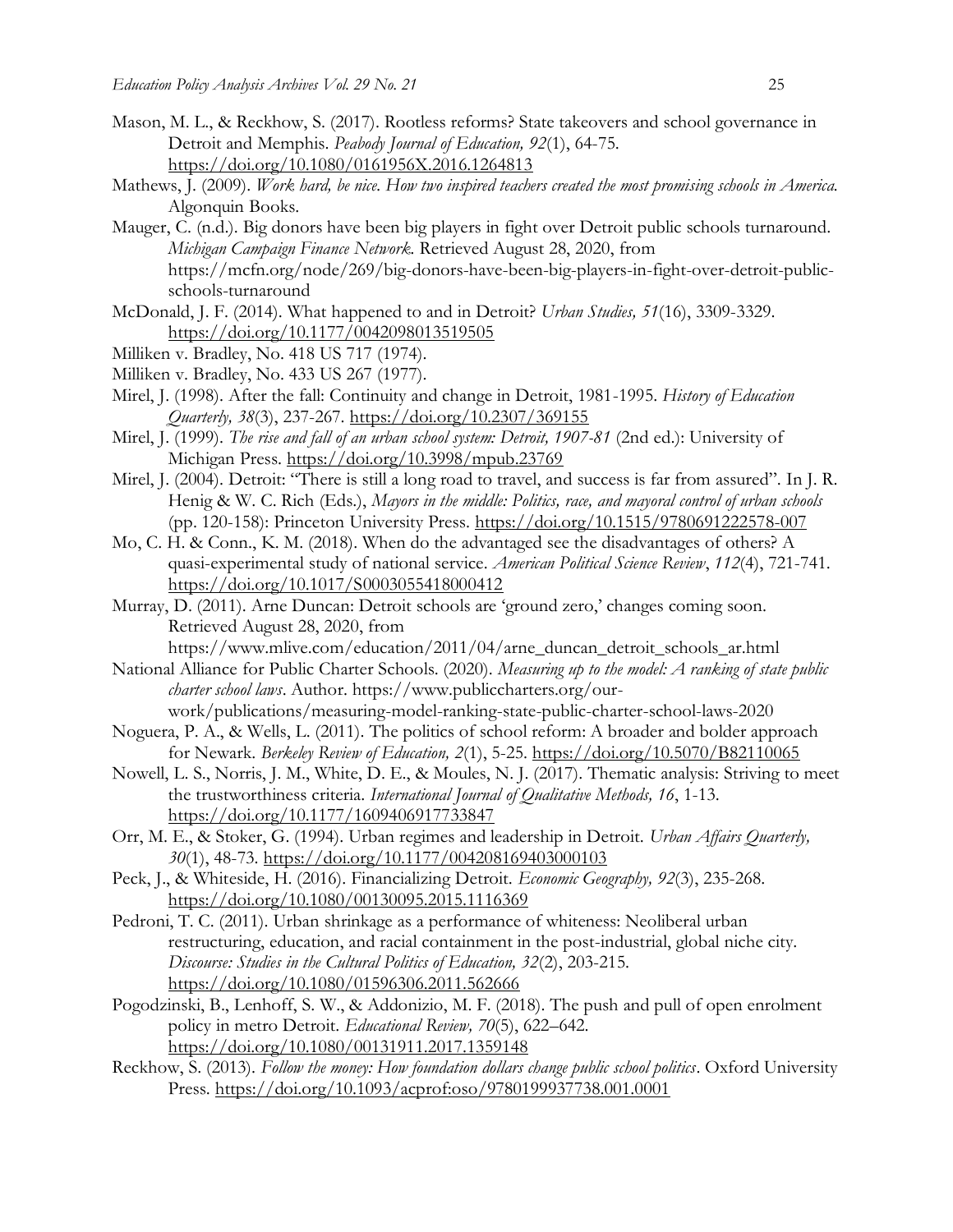- Mason, M. L., & Reckhow, S. (2017). Rootless reforms? State takeovers and school governance in Detroit and Memphis. *Peabody Journal of Education, 92*(1), 64-75. <https://doi.org/10.1080/0161956X.2016.1264813>
- Mathews, J. (2009). *Work hard, be nice. How two inspired teachers created the most promising schools in America.*  Algonquin Books.
- Mauger, C. (n.d.). Big donors have been big players in fight over Detroit public schools turnaround. *Michigan Campaign Finance Network.* Retrieved August 28, 2020, from https://mcfn.org/node/269/big-donors-have-been-big-players-in-fight-over-detroit-publicschools-turnaround
- McDonald, J. F. (2014). What happened to and in Detroit? *Urban Studies, 51*(16), 3309-3329. <https://doi.org/10.1177/0042098013519505>
- Milliken v. Bradley, No. 418 US 717 (1974).
- Milliken v. Bradley, No. 433 US 267 (1977).
- Mirel, J. (1998). After the fall: Continuity and change in Detroit, 1981-1995. *History of Education Quarterly, 38*(3), 237-267.<https://doi.org/10.2307/369155>
- Mirel, J. (1999). *The rise and fall of an urban school system: Detroit, 1907-81* (2nd ed.): University of Michigan Press. <https://doi.org/10.3998/mpub.23769>
- Mirel, J. (2004). Detroit: "There is still a long road to travel, and success is far from assured". In J. R. Henig & W. C. Rich (Eds.), *Mayors in the middle: Politics, race, and mayoral control of urban schools*  (pp. 120-158): Princeton University Press. <https://doi.org/10.1515/9780691222578-007>
- Mo, C. H. & Conn., K. M. (2018). When do the advantaged see the disadvantages of others? A quasi-experimental study of national service. *American Political Science Review*, *112*(4), 721-741. <https://doi.org/10.1017/S0003055418000412>
- Murray, D. (2011). Arne Duncan: Detroit schools are 'ground zero,' changes coming soon. Retrieved August 28, 2020, from

https://www.mlive.com/education/2011/04/arne\_duncan\_detroit\_schools\_ar.html

National Alliance for Public Charter Schools. (2020). *Measuring up to the model: A ranking of state public charter school laws*. Author. https://www.publiccharters.org/ourwork/publications/measuring-model-ranking-state-public-charter-school-laws-2020

- Noguera, P. A., & Wells, L. (2011). The politics of school reform: A broader and bolder approach for Newark. *Berkeley Review of Education, 2*(1), 5-25.<https://doi.org/10.5070/B82110065>
- Nowell, L. S., Norris, J. M., White, D. E., & Moules, N. J. (2017). Thematic analysis: Striving to meet the trustworthiness criteria. *International Journal of Qualitative Methods, 16*, 1-13. <https://doi.org/10.1177/1609406917733847>
- Orr, M. E., & Stoker, G. (1994). Urban regimes and leadership in Detroit. *Urban Affairs Quarterly, 30*(1), 48-73.<https://doi.org/10.1177/004208169403000103>
- Peck, J., & Whiteside, H. (2016). Financializing Detroit. *Economic Geography, 92*(3), 235-268. <https://doi.org/10.1080/00130095.2015.1116369>
- Pedroni, T. C. (2011). Urban shrinkage as a performance of whiteness: Neoliberal urban restructuring, education, and racial containment in the post-industrial, global niche city. *Discourse: Studies in the Cultural Politics of Education, 32*(2), 203-215. <https://doi.org/10.1080/01596306.2011.562666>
- Pogodzinski, B., Lenhoff, S. W., & Addonizio, M. F. (2018). The push and pull of open enrolment policy in metro Detroit. *Educational Review, 70*(5), 622–642. <https://doi.org/10.1080/00131911.2017.1359148>
- Reckhow, S. (2013). *Follow the money: How foundation dollars change public school politics*. Oxford University Press. <https://doi.org/10.1093/acprof:oso/9780199937738.001.0001>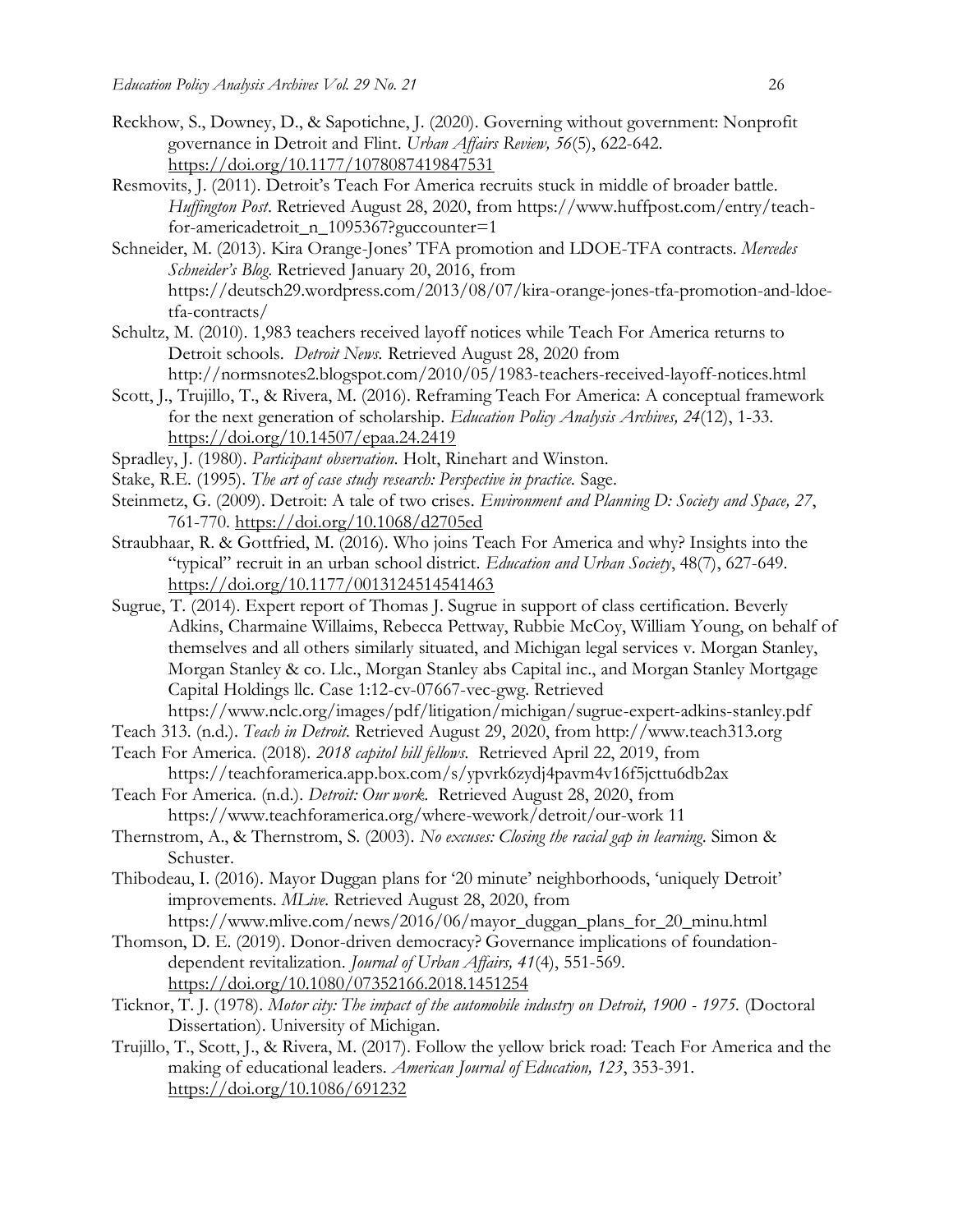- Reckhow, S., Downey, D., & Sapotichne, J. (2020). Governing without government: Nonprofit governance in Detroit and Flint. *Urban Affairs Review, 56*(5), 622-642. <https://doi.org/10.1177/1078087419847531>
- Resmovits, J. (2011). Detroit's Teach For America recruits stuck in middle of broader battle. *Huffington Post*. Retrieved August 28, 2020, from https://www.huffpost.com/entry/teachfor-americadetroit\_n\_1095367?guccounter=1
- Schneider, M. (2013). Kira Orange-Jones' TFA promotion and LDOE-TFA contracts. *Mercedes Schneider's Blog*. Retrieved January 20, 2016, from https://deutsch29.wordpress.com/2013/08/07/kira-orange-jones-tfa-promotion-and-ldoetfa-contracts/
- Schultz, M. (2010). 1,983 teachers received layoff notices while Teach For America returns to Detroit schools. *Detroit News.* Retrieved August 28, 2020 from http://normsnotes2.blogspot.com/2010/05/1983-teachers-received-layoff-notices.html
- Scott, J., Trujillo, T., & Rivera, M. (2016). Reframing Teach For America: A conceptual framework for the next generation of scholarship. *Education Policy Analysis Archives, 24*(12), 1-33. <https://doi.org/10.14507/epaa.24.2419>
- Spradley, J. (1980). *Participant observation*. Holt, Rinehart and Winston.
- Stake, R.E. (1995). *The art of case study research: Perspective in practice.* Sage.
- Steinmetz, G. (2009). Detroit: A tale of two crises. *Environment and Planning D: Society and Space, 27*, 761-770.<https://doi.org/10.1068/d2705ed>
- Straubhaar, R. & Gottfried, M. (2016). Who joins Teach For America and why? Insights into the "typical" recruit in an urban school district. *Education and Urban Society*, 48(7), 627-649. <https://doi.org/10.1177/0013124514541463>
- Sugrue, T. (2014). Expert report of Thomas J. Sugrue in support of class certification. Beverly Adkins, Charmaine Willaims, Rebecca Pettway, Rubbie McCoy, William Young, on behalf of themselves and all others similarly situated, and Michigan legal services v. Morgan Stanley, Morgan Stanley & co. Llc., Morgan Stanley abs Capital inc., and Morgan Stanley Mortgage Capital Holdings llc. Case 1:12-cv-07667-vec-gwg. Retrieved
- https://www.nclc.org/images/pdf/litigation/michigan/sugrue-expert-adkins-stanley.pdf
- Teach 313. (n.d.). *Teach in Detroit.* Retrieved August 29, 2020, from http://www.teach313.org Teach For America. (2018). *2018 capitol hill fellows.* Retrieved April 22, 2019, from
- https://teachforamerica.app.box.com/s/ypvrk6zydj4pavm4v16f5jcttu6db2ax
- Teach For America. (n.d.). *Detroit: Our work.* Retrieved August 28, 2020, from https://www.teachforamerica.org/where-wework/detroit/our-work 11
- Thernstrom, A., & Thernstrom, S. (2003). *No excuses: Closing the racial gap in learning*. Simon & Schuster.
- Thibodeau, I. (2016). Mayor Duggan plans for '20 minute' neighborhoods, 'uniquely Detroit' improvements. *MLive.* Retrieved August 28, 2020, from https://www.mlive.com/news/2016/06/mayor\_duggan\_plans\_for\_20\_minu.html
- Thomson, D. E. (2019). Donor-driven democracy? Governance implications of foundationdependent revitalization. *Journal of Urban Affairs, 41*(4), 551-569. <https://doi.org/10.1080/07352166.2018.1451254>
- Ticknor, T. J. (1978). *Motor city: The impact of the automobile industry on Detroit, 1900 - 1975.* (Doctoral Dissertation). University of Michigan.
- Trujillo, T., Scott, J., & Rivera, M. (2017). Follow the yellow brick road: Teach For America and the making of educational leaders. *American Journal of Education, 123*, 353-391. <https://doi.org/10.1086/691232>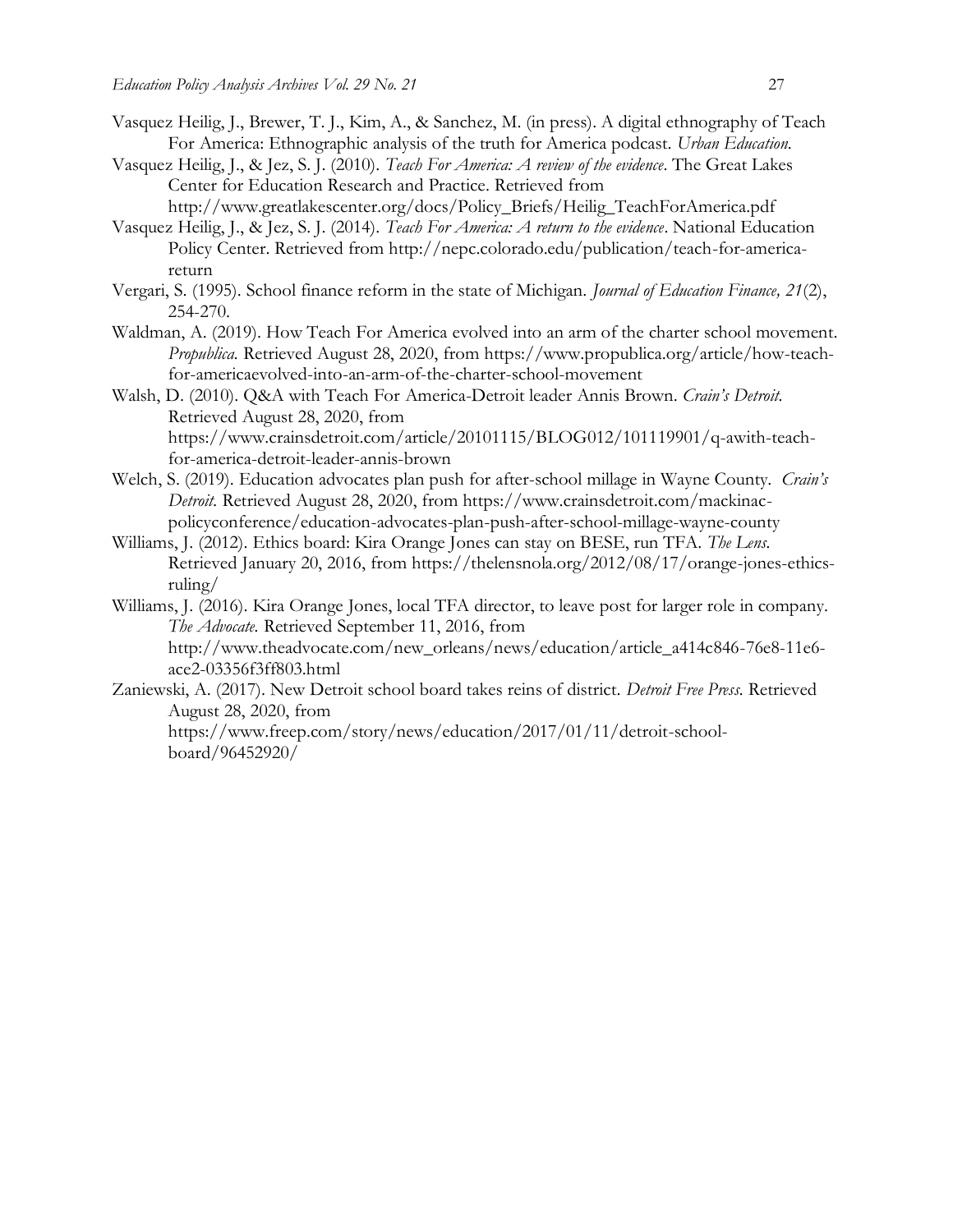- Vasquez Heilig, J., Brewer, T. J., Kim, A., & Sanchez, M. (in press). A digital ethnography of Teach For America: Ethnographic analysis of the truth for America podcast. *Urban Education.*
- Vasquez Heilig, J., & Jez, S. J. (2010). *Teach For America: A review of the evidence*. The Great Lakes Center for Education Research and Practice. Retrieved from http://www.greatlakescenter.org/docs/Policy\_Briefs/Heilig\_TeachForAmerica.pdf
- Vasquez Heilig, J., & Jez, S. J. (2014). *Teach For America: A return to the evidence*. National Education Policy Center. Retrieved from http://nepc.colorado.edu/publication/teach-for-americareturn
- Vergari, S. (1995). School finance reform in the state of Michigan. *Journal of Education Finance, 21*(2), 254-270.
- Waldman, A. (2019). How Teach For America evolved into an arm of the charter school movement. *Propublica.* Retrieved August 28, 2020, from https://www.propublica.org/article/how-teachfor-americaevolved-into-an-arm-of-the-charter-school-movement
- Walsh, D. (2010). Q&A with Teach For America-Detroit leader Annis Brown. *Crain's Detroit.* Retrieved August 28, 2020, from https://www.crainsdetroit.com/article/20101115/BLOG012/101119901/q-awith-teachfor-america-detroit-leader-annis-brown
- Welch, S. (2019). Education advocates plan push for after-school millage in Wayne County. *Crain's Detroit.* Retrieved August 28, 2020, from https://www.crainsdetroit.com/mackinacpolicyconference/education-advocates-plan-push-after-school-millage-wayne-county
- Williams, J. (2012). Ethics board: Kira Orange Jones can stay on BESE, run TFA. *The Lens.* Retrieved January 20, 2016, from https://thelensnola.org/2012/08/17/orange-jones-ethicsruling/
- Williams, J. (2016). Kira Orange Jones, local TFA director, to leave post for larger role in company. *The Advocate.* Retrieved September 11, 2016, from http://www.theadvocate.com/new\_orleans/news/education/article\_a414c846-76e8-11e6 ace2-03356f3ff803.html
- Zaniewski, A. (2017). New Detroit school board takes reins of district. *Detroit Free Press.* Retrieved August 28, 2020, from

https://www.freep.com/story/news/education/2017/01/11/detroit-schoolboard/96452920/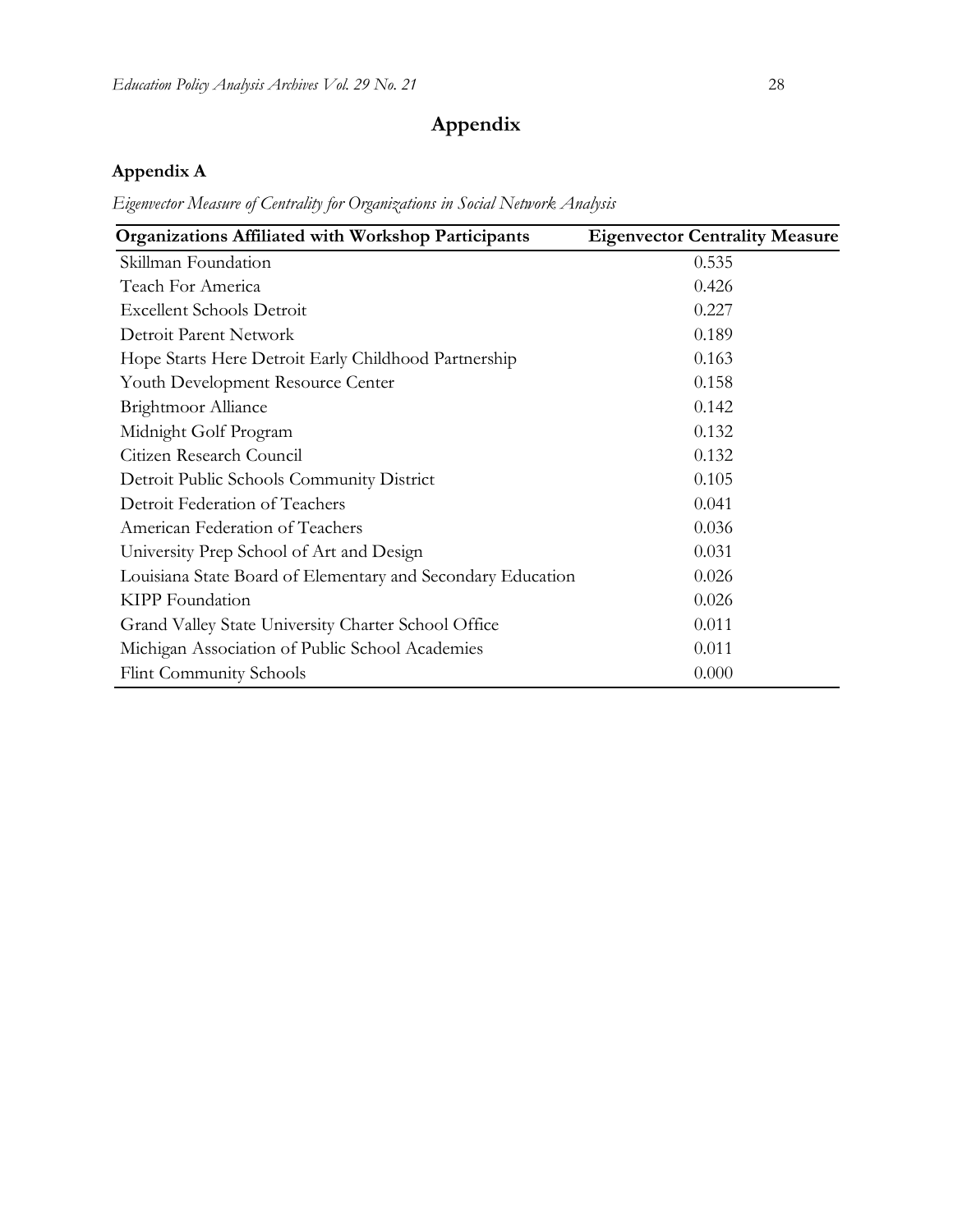# **Appendix**

# **Appendix A**

*Eigenvector Measure of Centrality for Organizations in Social Network Analysis*

| <b>Organizations Affiliated with Workshop Participants</b>  | <b>Eigenvector Centrality Measure</b> |
|-------------------------------------------------------------|---------------------------------------|
| Skillman Foundation                                         | 0.535                                 |
| Teach For America                                           | 0.426                                 |
| <b>Excellent Schools Detroit</b>                            | 0.227                                 |
| Detroit Parent Network                                      | 0.189                                 |
| Hope Starts Here Detroit Early Childhood Partnership        | 0.163                                 |
| Youth Development Resource Center                           | 0.158                                 |
| <b>Brightmoor Alliance</b>                                  | 0.142                                 |
| Midnight Golf Program                                       | 0.132                                 |
| Citizen Research Council                                    | 0.132                                 |
| Detroit Public Schools Community District                   | 0.105                                 |
| Detroit Federation of Teachers                              | 0.041                                 |
| American Federation of Teachers                             | 0.036                                 |
| University Prep School of Art and Design                    | 0.031                                 |
| Louisiana State Board of Elementary and Secondary Education | 0.026                                 |
| KIPP Foundation                                             | 0.026                                 |
| Grand Valley State University Charter School Office         | 0.011                                 |
| Michigan Association of Public School Academies             | 0.011                                 |
| <b>Flint Community Schools</b>                              | 0.000                                 |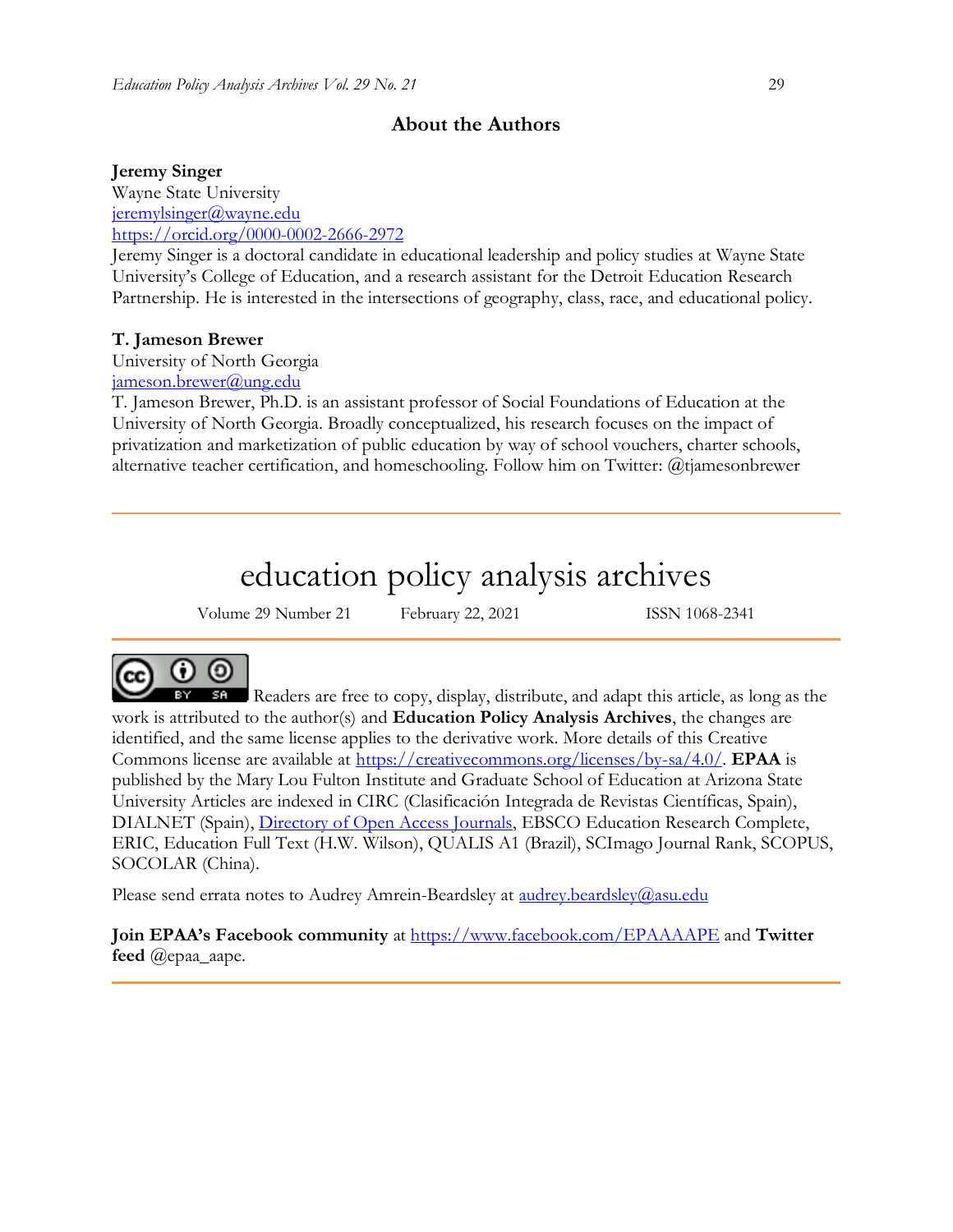## **About the Authors**

### **Jeremy Singer**

Wayne State University [jeremylsinger@wayne.edu](mailto:jeremylsinger@wayne.edu) <https://orcid.org/0000-0002-2666-2972>

Jeremy Singer is a doctoral candidate in educational leadership and policy studies at Wayne State University's College of Education, and a research assistant for the Detroit Education Research Partnership. He is interested in the intersections of geography, class, race, and educational policy.

### **T. Jameson Brewer**

University of North Georgia [jameson.brewer@ung.edu](mailto:jameson.brewer@ung.edu)

T. Jameson Brewer, Ph.D. is an assistant professor of Social Foundations of Education at the University of North Georgia. Broadly conceptualized, his research focuses on the impact of privatization and marketization of public education by way of school vouchers, charter schools, alternative teacher certification, and homeschooling. Follow him on Twitter: @tjamesonbrewer

# education policy analysis archives

Volume 29 Number 21 February 22, 2021 ISSN 1068-2341



Readers are free to copy, display, distribute, and adapt this article, as long as the work is attributed to the author(s) and **Education Policy Analysis Archives**, the changes are identified, and the same license applies to the derivative work. More details of this Creative Commons license are available at [https://creativecommons.org/licenses/by-sa/4.0/.](https://creativecommons.org/licenses/by-sa/4.0/) **EPAA** is published by the Mary Lou Fulton Institute and Graduate School of Education at Arizona State University Articles are indexed in CIRC (Clasificación Integrada de Revistas Científicas, Spain), DIALNET (Spain), [Directory of Open Access Journals,](http://www.doaj.org/) EBSCO Education Research Complete, ERIC, Education Full Text (H.W. Wilson), QUALIS A1 (Brazil), SCImago Journal Rank, SCOPUS, SOCOLAR (China).

Please send errata notes to Audrey Amrein-Beardsley at <u>audrey.beardsley@asu.edu</u>

**Join EPAA's Facebook community** at<https://www.facebook.com/EPAAAAPE> and **Twitter feed** @epaa\_aape.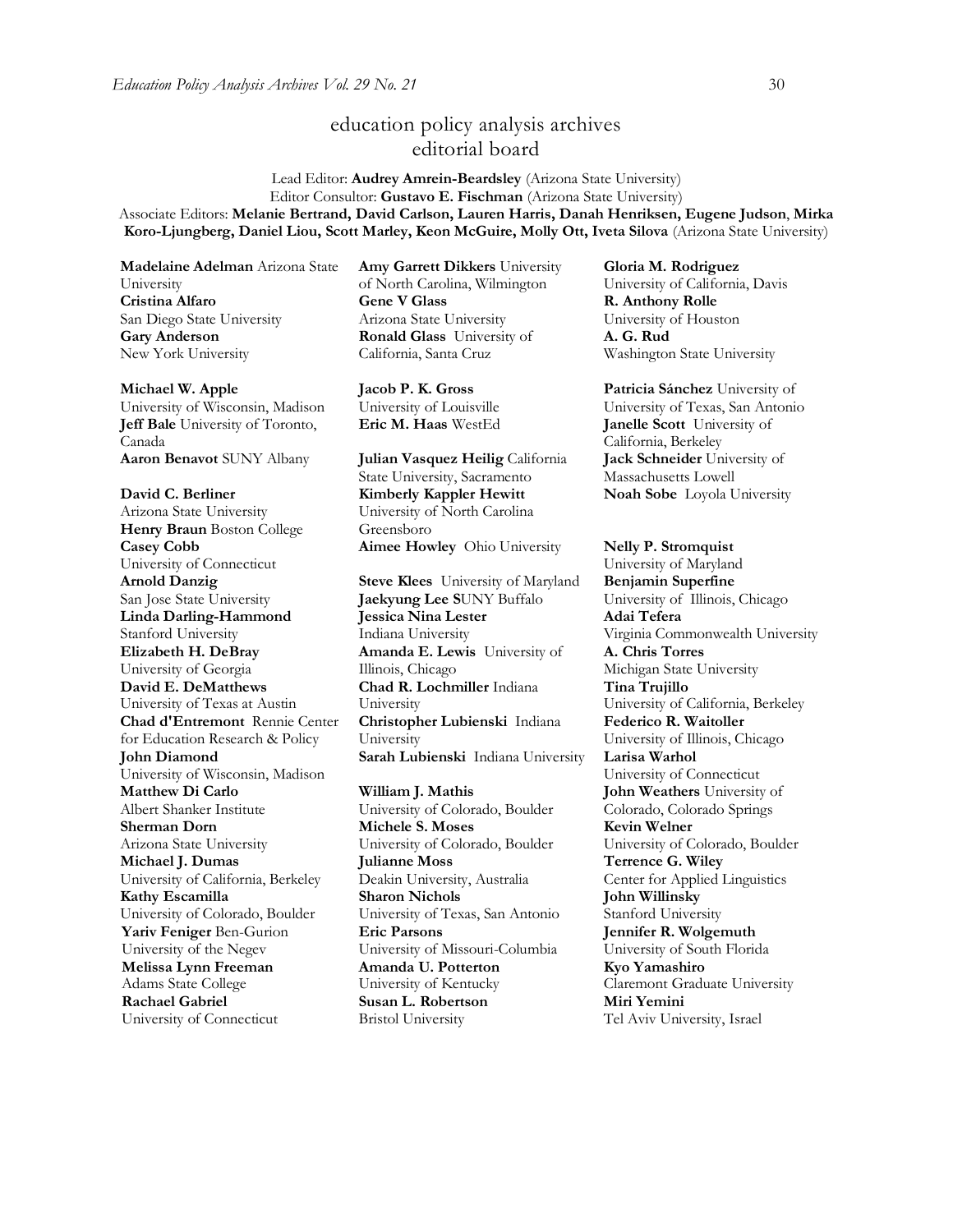# education policy analysis archives editorial board

Lead Editor: **Audrey Amrein-Beardsley** (Arizona State University) Editor Consultor: **Gustavo E. Fischman** (Arizona State University) Associate Editors: **Melanie Bertrand, David Carlson, Lauren Harris, Danah Henriksen, Eugene Judson**, **Mirka Koro-Ljungberg, Daniel Liou, Scott Marley, Keon McGuire, Molly Ott, Iveta Silova** (Arizona State University)

**Madelaine Adelman** Arizona State University **Cristina Alfaro**  San Diego State University **Gary Anderson** New York University

**Michael W. Apple** 

University of Wisconsin, Madison **Jeff Bale** University of Toronto, Canada **Aaron Benavot** SUNY Albany **Julian Vasquez Heilig** California

**David C. Berliner**  Arizona State University **Henry Braun** Boston College **Casey Cobb** University of Connecticut **Arnold Danzig** San Jose State University **Linda Darling-Hammond**  Stanford University **Elizabeth H. DeBray**  University of Georgia **David E. DeMatthews** University of Texas at Austin **Chad d'Entremont** Rennie Center for Education Research & Policy **John Diamond** University of Wisconsin, Madison **Matthew Di Carlo**  Albert Shanker Institute **Sherman Dorn** Arizona State University **Michael J. Dumas**  University of California, Berkeley **Kathy Escamilla**  University of Colorado, Boulder **Yariv Feniger** Ben-Gurion University of the Negev **Melissa Lynn Freeman**  Adams State College **Rachael Gabriel** University of Connecticut

**Amy Garrett Dikkers** University of North Carolina, Wilmington **Gene V Glass**  Arizona State University **Ronald Glass** University of California, Santa Cruz

**Jacob P. K. Gross**  University of Louisville

State University, Sacramento **Kimberly Kappler Hewitt** University of North Carolina Greensboro **Aimee Howley** Ohio University **Nelly P. Stromquist** 

**Steve Klees** University of Maryland **Jaekyung Lee S**UNY Buffalo **Jessica Nina Lester** Indiana University **Amanda E. Lewis** University of Illinois, Chicago **Chad R. Lochmiller** Indiana University **Christopher Lubienski** Indiana University **Sarah Lubienski** Indiana University **Larisa Warhol**

**William J. Mathis**  University of Colorado, Boulder **Michele S. Moses**  University of Colorado, Boulder **Julianne Moss** Deakin University, Australia **Sharon Nichols**  University of Texas, San Antonio **Eric Parsons** University of Missouri-Columbia **Amanda U. Potterton** University of Kentucky **Susan L. Robertson** Bristol University

**Gloria M. Rodriguez** University of California, Davis **R. Anthony Rolle**  University of Houston **A. G. Rud**  Washington State University

**Patricia Sánchez** University of University of Texas, San Antonio **Eric M. Haas** WestEd **Janelle Scott** University of California, Berkeley **Jack Schneider** University of Massachusetts Lowell **Noah Sobe** Loyola University

> University of Maryland **Benjamin Superfine**  University of Illinois, Chicago **Adai Tefera**  Virginia Commonwealth University **A. Chris Torres** Michigan State University **Tina Trujillo**  University of California, Berkeley **Federico R. Waitoller**  University of Illinois, Chicago University of Connecticut **John Weathers** University of Colorado, Colorado Springs **Kevin Welner** University of Colorado, Boulder **Terrence G. Wiley**  Center for Applied Linguistics **John Willinsky**  Stanford University **Jennifer R. Wolgemuth**  University of South Florida **Kyo Yamashiro**  Claremont Graduate University **Miri Yemini** Tel Aviv University, Israel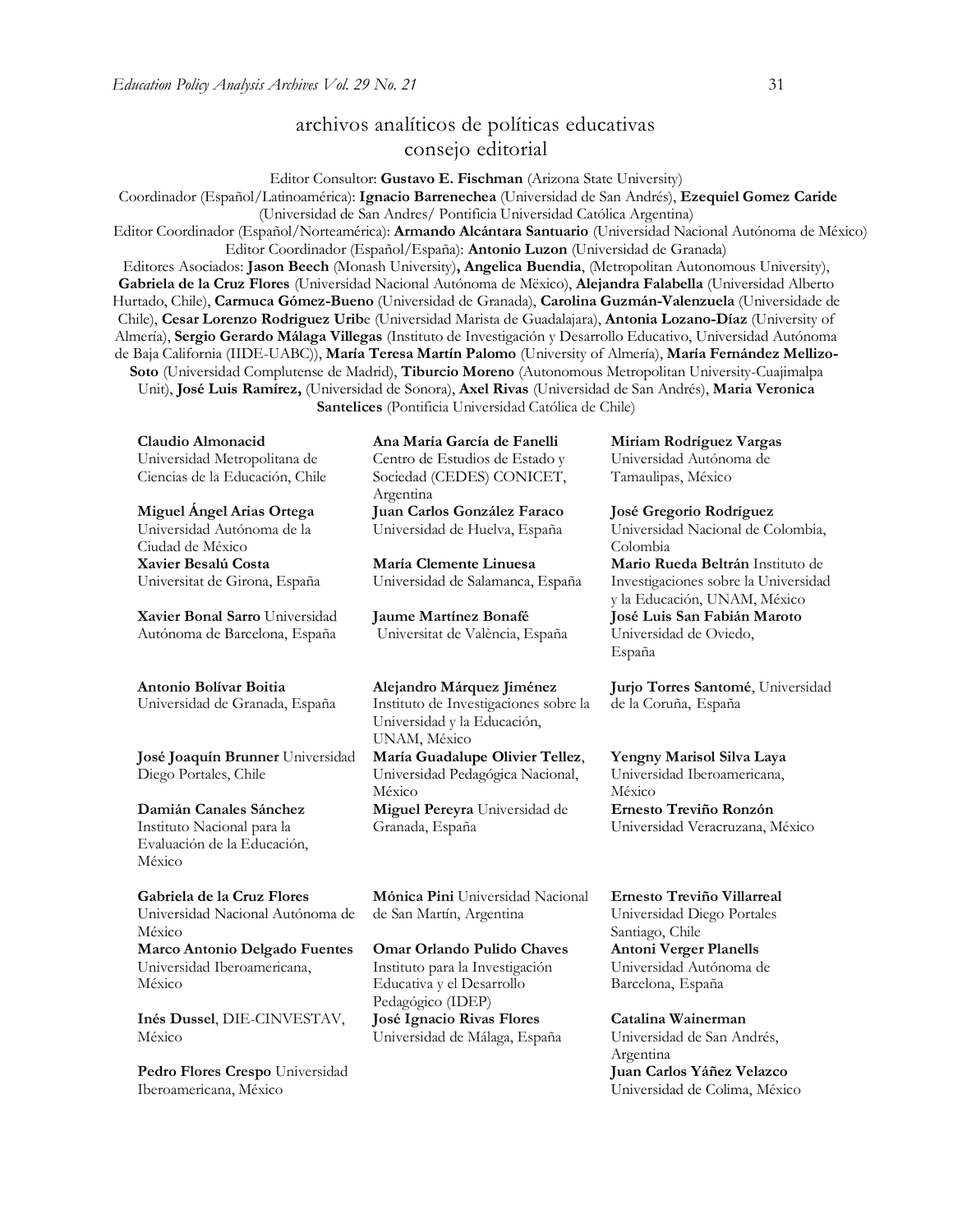# archivos analíticos de políticas educativas consejo editorial

Editor Consultor: **Gustavo E. Fischman** (Arizona State University)

Coordinador (Español/Latinoamérica): **Ignacio Barrenechea** (Universidad de San Andrés), **Ezequiel Gomez Caride** (Universidad de San Andres/ Pontificia Universidad Católica Argentina)

Editor Coordinador (Español/Norteamérica): **Armando Alcántara Santuario** (Universidad Nacional Autónoma de México) Editor Coordinador (Español/España): **Antonio Luzon** (Universidad de Granada)

Editores Asociados: **Jason Beech** (Monash University)**, Angelica Buendia**, (Metropolitan Autonomous University), **Gabriela de la Cruz Flores** (Universidad Nacional Autónoma de Mëxico), **Alejandra Falabella** (Universidad Alberto Hurtado, Chile), **Carmuca Gómez-Bueno** (Universidad de Granada), **Carolina Guzmán-Valenzuela** (Universidade de Chile), **Cesar Lorenzo Rodriguez Urib**e (Universidad Marista de Guadalajara), **Antonia Lozano-Díaz** (University of Almería), **Sergio Gerardo Málaga Villegas** (Instituto de Investigación y Desarrollo Educativo, Universidad Autónoma de Baja California (IIDE-UABC)), **María Teresa Martín Palomo** (University of Almería), **María Fernández Mellizo-Soto** (Universidad Complutense de Madrid), **Tiburcio Moreno** (Autonomous Metropolitan University-Cuajimalpa Unit), **José Luis Ramírez,** (Universidad de Sonora), **Axel Rivas** (Universidad de San Andrés), **Maria Veronica Santelices** (Pontificia Universidad Católica de Chile)

**Claudio Almonacid** Universidad Metropolitana de Ciencias de la Educación, Chile

**Miguel Ángel Arias Ortega**  Universidad Autónoma de la Ciudad de México **Xavier Besalú Costa**  Universitat de Girona, España

**[Xavier Bonal](javascript:openRTWindow() Sarro** Universidad Autónoma de Barcelona, España

#### **[Antonio Bolívar](javascript:openRTWindow() Boitia**

Universidad de Granada, España

**[José Joaquín Brunner](javascript:openRTWindow()** Universidad Diego Portales, Chile

**[Damián Canales Sánchez](javascript:openRTWindow()** Instituto Nacional para la Evaluación de la Educación, México

**Gabriela de la Cruz Flores** Universidad Nacional Autónoma de México **[Marco Antonio Delgado Fuentes](javascript:openRTWindow()** Universidad Iberoamericana, México

**[Inés Dussel](javascript:openRTWindow()**, DIE-CINVESTAV, México

**[Pedro Flores Crespo](javascript:openRTWindow()** Universidad Iberoamericana, México

**Ana María García de Fanelli**  Centro de Estudios de Estado y Sociedad (CEDES) CONICET, Argentina **Juan Carlos González Faraco**  Universidad de Huelva, España

**María Clemente Linuesa**  Universidad de Salamanca, España

**Jaume Martínez Bonafé** Universitat de València, España

**Alejandro Márquez Jiménez**  Instituto de Investigaciones sobre la Universidad y la Educación, UNAM, México

**María Guadalupe Olivier Tellez**, Universidad Pedagógica Nacional, México **[Miguel Pereyra](javascript:openRTWindow()** Universidad de Granada, España

**[Mónica Pini](javascript:openRTWindow()** Universidad Nacional de San Martín, Argentina

**Omar Orlando Pulido Chaves** Instituto para la Investigación Educativa y el Desarrollo Pedagógico (IDEP) **José Ignacio Rivas Flores** Universidad de Málaga, España

**[Miriam Rodríguez Vargas](javascript:openRTWindow()** Universidad Autónoma de Tamaulipas, México

**José Gregorio Rodríguez**  Universidad Nacional de Colombia, Colombia **[Mario Rueda Beltrán](javascript:openRTWindow()** Instituto de Investigaciones sobre la Universidad y la Educación, UNAM, México **José Luis San Fabián Maroto**  Universidad de Oviedo, España

**[Jurjo Torres Santomé](javascript:openRTWindow()**, Universidad de la Coruña, España

**[Yengny Marisol Silva Laya](javascript:openRTWindow()** Universidad Iberoamericana, México **Ernesto Treviño Ronzón** Universidad Veracruzana, México

**[Ernesto Treviño](javascript:openRTWindow() Villarreal** Universidad Diego Portales Santiago, Chile **[Antoni Verger Planells](javascript:openRTWindow()** Universidad Autónoma de Barcelona, España

**[Catalina Wainerman](javascript:openRTWindow()** Universidad de San Andrés, Argentina **Juan Carlos Yáñez Velazco** Universidad de Colima, México